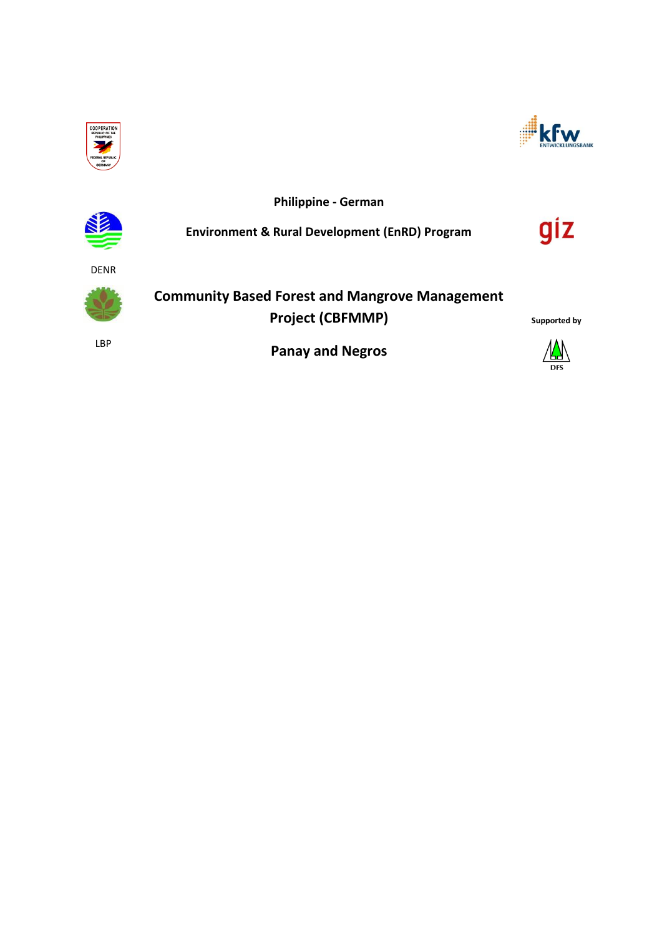



**Philippine - German**

**Environment & Rural Development (EnRD) Program**



DENR



**Community Based Forest and Mangrove Management Project (CBFMMP)**

LBP

**Panay and Negros**



**Supported by**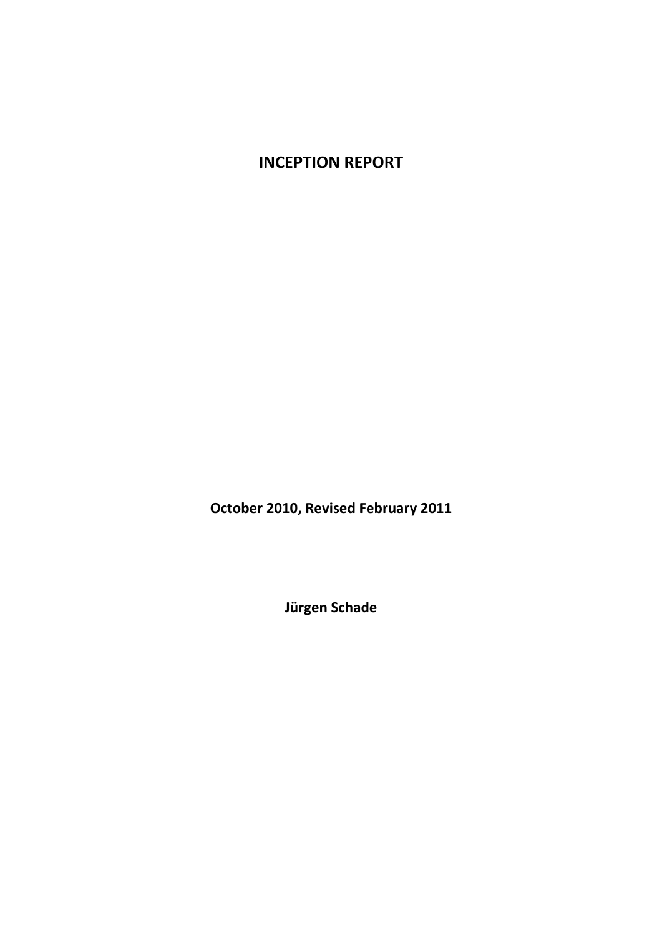# **INCEPTION REPORT**

**October 2010, Revised February 2011**

**Jürgen Schade**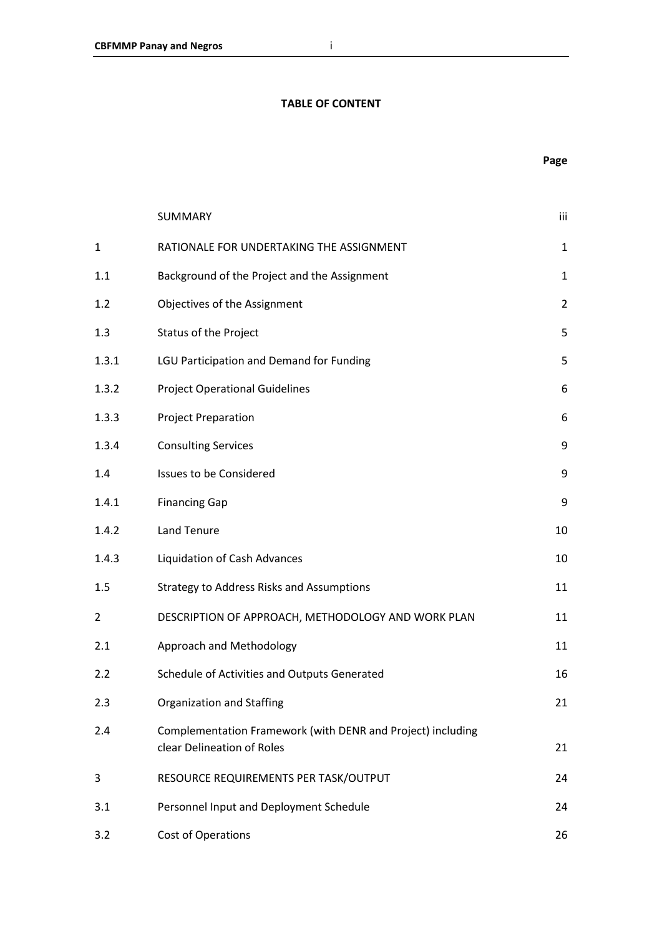#### **TABLE OF CONTENT**

|                | SUMMARY                                                                                   | iii            |
|----------------|-------------------------------------------------------------------------------------------|----------------|
| $\mathbf 1$    | RATIONALE FOR UNDERTAKING THE ASSIGNMENT                                                  | $\mathbf{1}$   |
| 1.1            | Background of the Project and the Assignment                                              | $\mathbf{1}$   |
| 1.2            | Objectives of the Assignment                                                              | $\overline{2}$ |
| 1.3            | Status of the Project                                                                     | 5              |
| 1.3.1          | LGU Participation and Demand for Funding                                                  | 5              |
| 1.3.2          | <b>Project Operational Guidelines</b>                                                     | 6              |
| 1.3.3          | <b>Project Preparation</b>                                                                | 6              |
| 1.3.4          | <b>Consulting Services</b>                                                                | 9              |
| 1.4            | <b>Issues to be Considered</b>                                                            | 9              |
| 1.4.1          | <b>Financing Gap</b>                                                                      | 9              |
| 1.4.2          | Land Tenure                                                                               | 10             |
| 1.4.3          | Liquidation of Cash Advances                                                              | 10             |
| 1.5            | <b>Strategy to Address Risks and Assumptions</b>                                          | 11             |
| $\overline{2}$ | DESCRIPTION OF APPROACH, METHODOLOGY AND WORK PLAN                                        | 11             |
| 2.1            | Approach and Methodology                                                                  | 11             |
| 2.2            | Schedule of Activities and Outputs Generated                                              | 16             |
| 2.3            | Organization and Staffing                                                                 | 21             |
| 2.4            | Complementation Framework (with DENR and Project) including<br>clear Delineation of Roles | 21             |
| 3              | RESOURCE REQUIREMENTS PER TASK/OUTPUT                                                     | 24             |
| 3.1            | Personnel Input and Deployment Schedule                                                   | 24             |
| 3.2            | <b>Cost of Operations</b>                                                                 | 26             |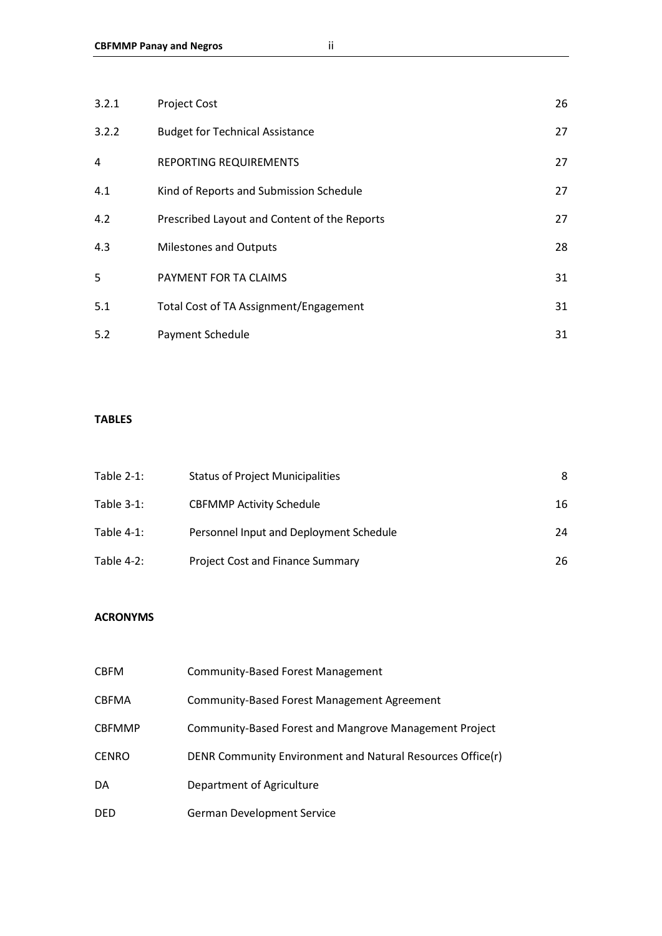| 3.2.1          | <b>Project Cost</b>                          | 26 |
|----------------|----------------------------------------------|----|
| 3.2.2          | <b>Budget for Technical Assistance</b>       | 27 |
| $\overline{4}$ | <b>REPORTING REQUIREMENTS</b>                | 27 |
| 4.1            | Kind of Reports and Submission Schedule      | 27 |
| 4.2            | Prescribed Layout and Content of the Reports | 27 |
| 4.3            | <b>Milestones and Outputs</b>                | 28 |
| 5              | PAYMENT FOR TA CLAIMS                        | 31 |
| 5.1            | Total Cost of TA Assignment/Engagement       | 31 |
| 5.2            | Payment Schedule                             | 31 |

#### **TABLES**

| Table $2-1$ : | <b>Status of Project Municipalities</b> | 8  |
|---------------|-----------------------------------------|----|
| Table $3-1$ : | <b>CBFMMP Activity Schedule</b>         | 16 |
| Table $4-1$ : | Personnel Input and Deployment Schedule | 24 |
| Table $4-2$ : | Project Cost and Finance Summary        | 26 |

### **ACRONYMS**

| CBFM          | <b>Community-Based Forest Management</b>                   |
|---------------|------------------------------------------------------------|
| CBFMA         | <b>Community-Based Forest Management Agreement</b>         |
| <b>CBFMMP</b> | Community-Based Forest and Mangrove Management Project     |
| CENRO         | DENR Community Environment and Natural Resources Office(r) |
| DA            | Department of Agriculture                                  |
| DED           | <b>German Development Service</b>                          |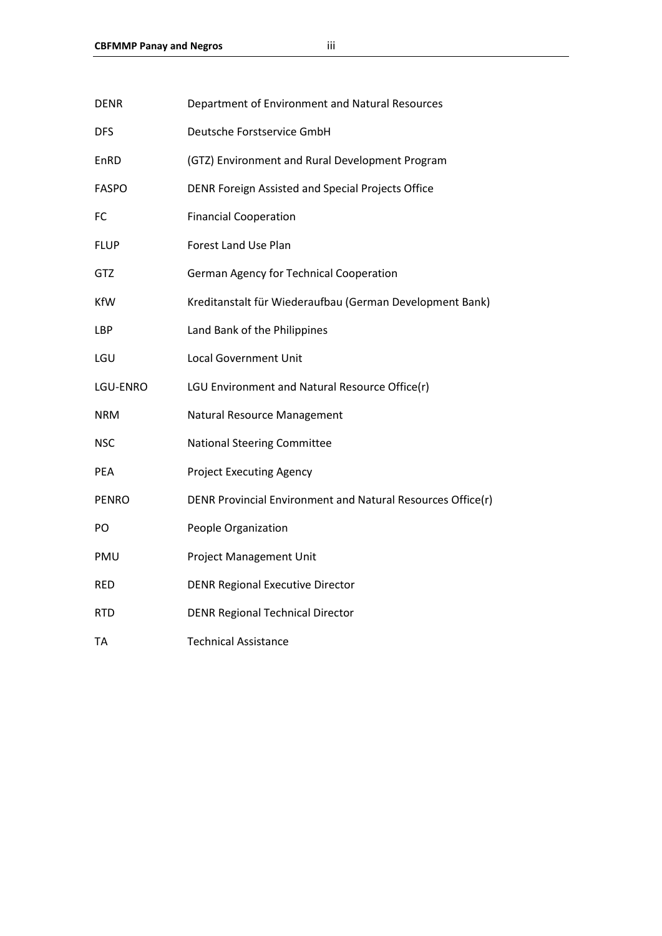| <b>DENR</b>  | Department of Environment and Natural Resources             |
|--------------|-------------------------------------------------------------|
| <b>DFS</b>   | Deutsche Forstservice GmbH                                  |
| EnRD         | (GTZ) Environment and Rural Development Program             |
| <b>FASPO</b> | DENR Foreign Assisted and Special Projects Office           |
| FC           | <b>Financial Cooperation</b>                                |
| <b>FLUP</b>  | Forest Land Use Plan                                        |
| GTZ          | German Agency for Technical Cooperation                     |
| KfW          | Kreditanstalt für Wiederaufbau (German Development Bank)    |
| LBP          | Land Bank of the Philippines                                |
| LGU          | <b>Local Government Unit</b>                                |
| LGU-ENRO     | LGU Environment and Natural Resource Office(r)              |
| <b>NRM</b>   | Natural Resource Management                                 |
| <b>NSC</b>   | <b>National Steering Committee</b>                          |
| PEA          | <b>Project Executing Agency</b>                             |
| <b>PENRO</b> | DENR Provincial Environment and Natural Resources Office(r) |
| PO           | People Organization                                         |
| PMU          | <b>Project Management Unit</b>                              |
| <b>RED</b>   | <b>DENR Regional Executive Director</b>                     |
| <b>RTD</b>   | <b>DENR Regional Technical Director</b>                     |
| <b>TA</b>    | <b>Technical Assistance</b>                                 |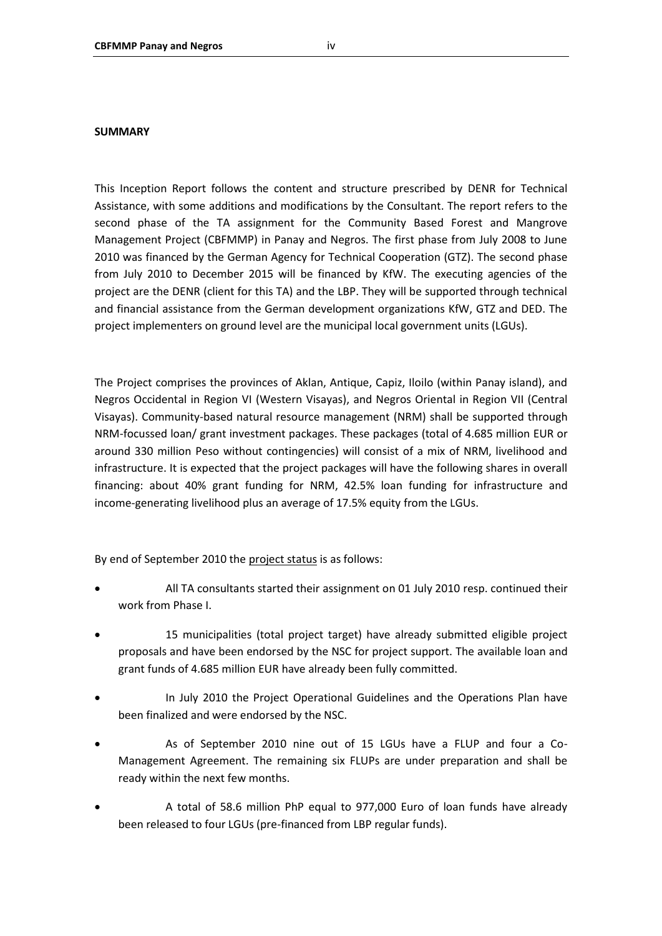#### **SUMMARY**

This Inception Report follows the content and structure prescribed by DENR for Technical Assistance, with some additions and modifications by the Consultant. The report refers to the second phase of the TA assignment for the Community Based Forest and Mangrove Management Project (CBFMMP) in Panay and Negros. The first phase from July 2008 to June 2010 was financed by the German Agency for Technical Cooperation (GTZ). The second phase from July 2010 to December 2015 will be financed by KfW. The executing agencies of the project are the DENR (client for this TA) and the LBP. They will be supported through technical and financial assistance from the German development organizations KfW, GTZ and DED. The project implementers on ground level are the municipal local government units (LGUs).

The Project comprises the provinces of Aklan, Antique, Capiz, Iloilo (within Panay island), and Negros Occidental in Region VI (Western Visayas), and Negros Oriental in Region VII (Central Visayas). Community-based natural resource management (NRM) shall be supported through NRM-focussed loan/ grant investment packages. These packages (total of 4.685 million EUR or around 330 million Peso without contingencies) will consist of a mix of NRM, livelihood and infrastructure. It is expected that the project packages will have the following shares in overall financing: about 40% grant funding for NRM, 42.5% loan funding for infrastructure and income-generating livelihood plus an average of 17.5% equity from the LGUs.

By end of September 2010 the project status is as follows:

- All TA consultants started their assignment on 01 July 2010 resp. continued their work from Phase I.
- 15 municipalities (total project target) have already submitted eligible project proposals and have been endorsed by the NSC for project support. The available loan and grant funds of 4.685 million EUR have already been fully committed.
- In July 2010 the Project Operational Guidelines and the Operations Plan have been finalized and were endorsed by the NSC.
- As of September 2010 nine out of 15 LGUs have a FLUP and four a Co-Management Agreement. The remaining six FLUPs are under preparation and shall be ready within the next few months.
- A total of 58.6 million PhP equal to 977,000 Euro of loan funds have already been released to four LGUs (pre-financed from LBP regular funds).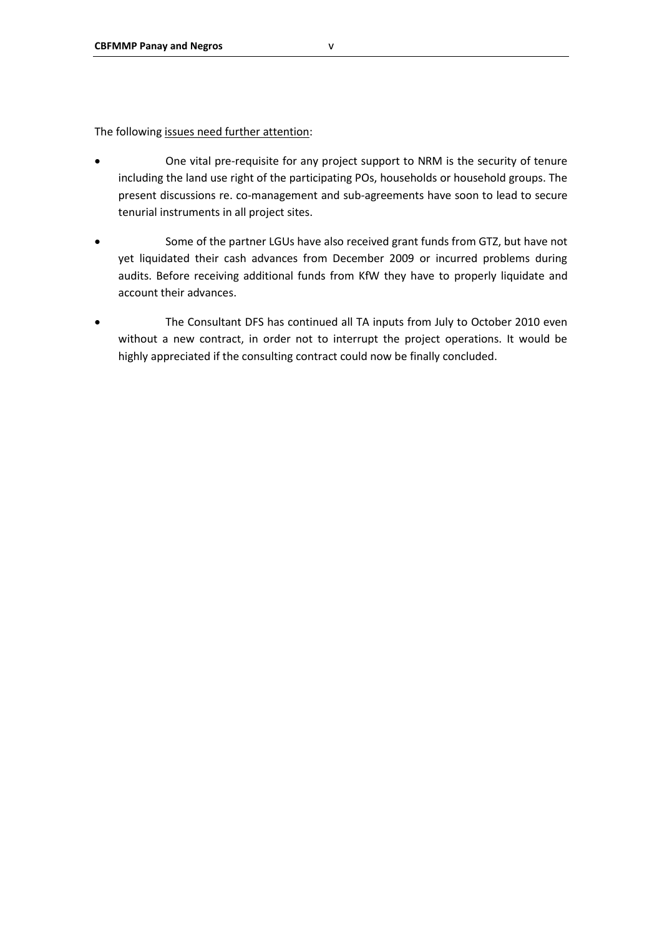The following issues need further attention:

- One vital pre-requisite for any project support to NRM is the security of tenure including the land use right of the participating POs, households or household groups. The present discussions re. co-management and sub-agreements have soon to lead to secure tenurial instruments in all project sites.
- Some of the partner LGUs have also received grant funds from GTZ, but have not yet liquidated their cash advances from December 2009 or incurred problems during audits. Before receiving additional funds from KfW they have to properly liquidate and account their advances.
- The Consultant DFS has continued all TA inputs from July to October 2010 even without a new contract, in order not to interrupt the project operations. It would be highly appreciated if the consulting contract could now be finally concluded.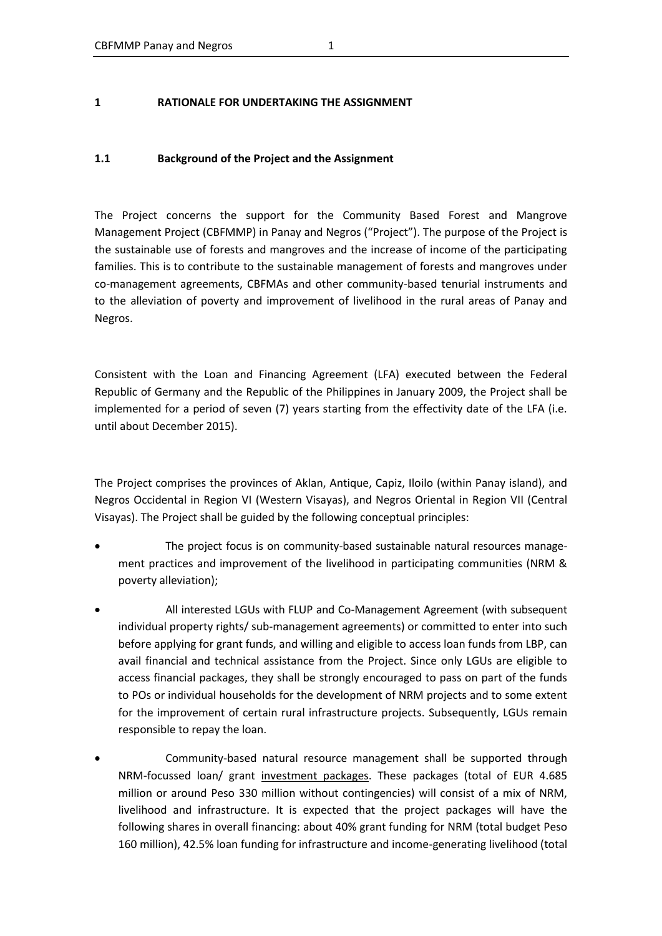#### **1 RATIONALE FOR UNDERTAKING THE ASSIGNMENT**

#### **1.1 Background of the Project and the Assignment**

The Project concerns the support for the Community Based Forest and Mangrove Management Project (CBFMMP) in Panay and Negros ("Project"). The purpose of the Project is the sustainable use of forests and mangroves and the increase of income of the participating families. This is to contribute to the sustainable management of forests and mangroves under co-management agreements, CBFMAs and other community-based tenurial instruments and to the alleviation of poverty and improvement of livelihood in the rural areas of Panay and Negros.

Consistent with the Loan and Financing Agreement (LFA) executed between the Federal Republic of Germany and the Republic of the Philippines in January 2009, the Project shall be implemented for a period of seven (7) years starting from the effectivity date of the LFA (i.e. until about December 2015).

The Project comprises the provinces of Aklan, Antique, Capiz, Iloilo (within Panay island), and Negros Occidental in Region VI (Western Visayas), and Negros Oriental in Region VII (Central Visayas). The Project shall be guided by the following conceptual principles:

- The project focus is on community-based sustainable natural resources management practices and improvement of the livelihood in participating communities (NRM & poverty alleviation);
- All interested LGUs with FLUP and Co-Management Agreement (with subsequent individual property rights/ sub-management agreements) or committed to enter into such before applying for grant funds, and willing and eligible to access loan funds from LBP, can avail financial and technical assistance from the Project. Since only LGUs are eligible to access financial packages, they shall be strongly encouraged to pass on part of the funds to POs or individual households for the development of NRM projects and to some extent for the improvement of certain rural infrastructure projects. Subsequently, LGUs remain responsible to repay the loan.
- Community-based natural resource management shall be supported through NRM-focussed loan/ grant investment packages. These packages (total of EUR 4.685 million or around Peso 330 million without contingencies) will consist of a mix of NRM, livelihood and infrastructure. It is expected that the project packages will have the following shares in overall financing: about 40% grant funding for NRM (total budget Peso 160 million), 42.5% loan funding for infrastructure and income-generating livelihood (total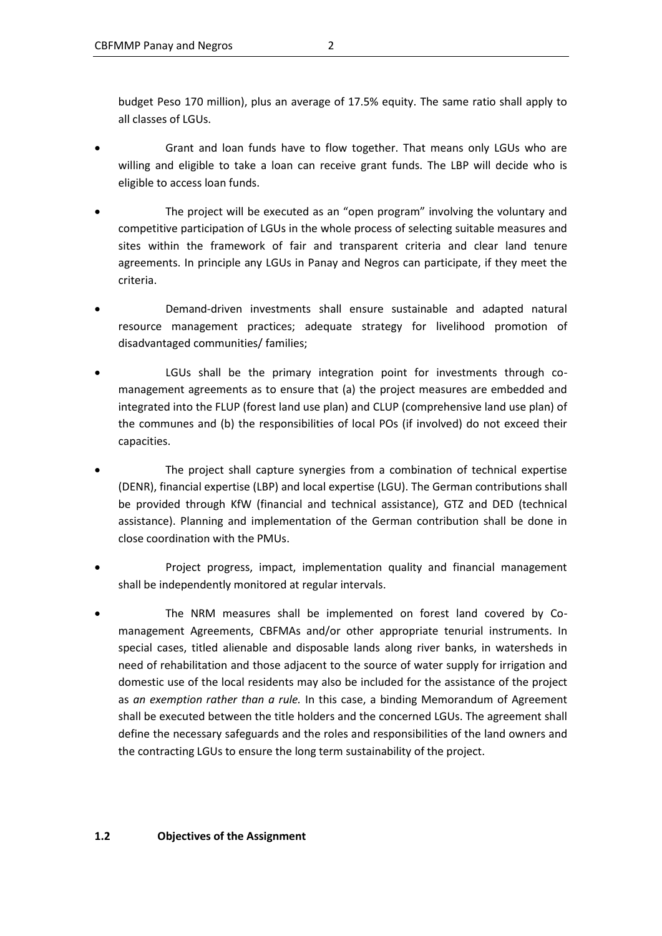budget Peso 170 million), plus an average of 17.5% equity. The same ratio shall apply to all classes of LGUs.

- Grant and loan funds have to flow together. That means only LGUs who are willing and eligible to take a loan can receive grant funds. The LBP will decide who is eligible to access loan funds.
- The project will be executed as an "open program" involving the voluntary and competitive participation of LGUs in the whole process of selecting suitable measures and sites within the framework of fair and transparent criteria and clear land tenure agreements. In principle any LGUs in Panay and Negros can participate, if they meet the criteria.
- Demand-driven investments shall ensure sustainable and adapted natural resource management practices; adequate strategy for livelihood promotion of disadvantaged communities/ families;
- LGUs shall be the primary integration point for investments through comanagement agreements as to ensure that (a) the project measures are embedded and integrated into the FLUP (forest land use plan) and CLUP (comprehensive land use plan) of the communes and (b) the responsibilities of local POs (if involved) do not exceed their capacities.
- The project shall capture synergies from a combination of technical expertise (DENR), financial expertise (LBP) and local expertise (LGU). The German contributions shall be provided through KfW (financial and technical assistance), GTZ and DED (technical assistance). Planning and implementation of the German contribution shall be done in close coordination with the PMUs.
- Project progress, impact, implementation quality and financial management shall be independently monitored at regular intervals.
- The NRM measures shall be implemented on forest land covered by Comanagement Agreements, CBFMAs and/or other appropriate tenurial instruments. In special cases, titled alienable and disposable lands along river banks, in watersheds in need of rehabilitation and those adjacent to the source of water supply for irrigation and domestic use of the local residents may also be included for the assistance of the project as *an exemption rather than a rule.* In this case, a binding Memorandum of Agreement shall be executed between the title holders and the concerned LGUs. The agreement shall define the necessary safeguards and the roles and responsibilities of the land owners and the contracting LGUs to ensure the long term sustainability of the project.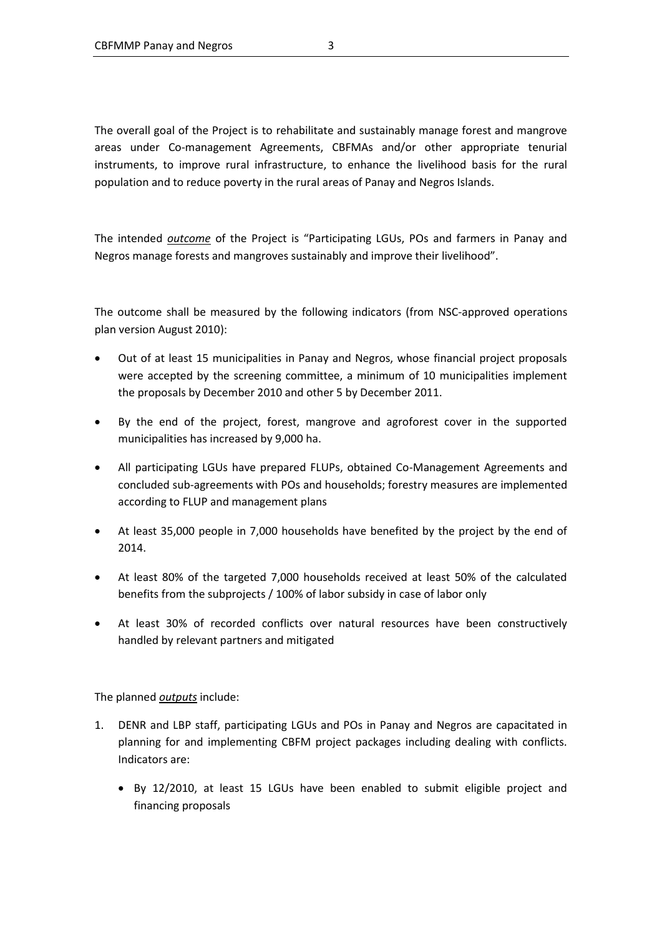The overall goal of the Project is to rehabilitate and sustainably manage forest and mangrove areas under Co-management Agreements, CBFMAs and/or other appropriate tenurial instruments, to improve rural infrastructure, to enhance the livelihood basis for the rural population and to reduce poverty in the rural areas of Panay and Negros Islands.

The intended *outcome* of the Project is "Participating LGUs, POs and farmers in Panay and Negros manage forests and mangroves sustainably and improve their livelihood".

The outcome shall be measured by the following indicators (from NSC-approved operations plan version August 2010):

- Out of at least 15 municipalities in Panay and Negros, whose financial project proposals were accepted by the screening committee, a minimum of 10 municipalities implement the proposals by December 2010 and other 5 by December 2011.
- By the end of the project, forest, mangrove and agroforest cover in the supported municipalities has increased by 9,000 ha.
- All participating LGUs have prepared FLUPs, obtained Co-Management Agreements and concluded sub-agreements with POs and households; forestry measures are implemented according to FLUP and management plans
- At least 35,000 people in 7,000 households have benefited by the project by the end of 2014.
- At least 80% of the targeted 7,000 households received at least 50% of the calculated benefits from the subprojects / 100% of labor subsidy in case of labor only
- At least 30% of recorded conflicts over natural resources have been constructively handled by relevant partners and mitigated

The planned *outputs* include:

- 1. DENR and LBP staff, participating LGUs and POs in Panay and Negros are capacitated in planning for and implementing CBFM project packages including dealing with conflicts. Indicators are:
	- By 12/2010, at least 15 LGUs have been enabled to submit eligible project and financing proposals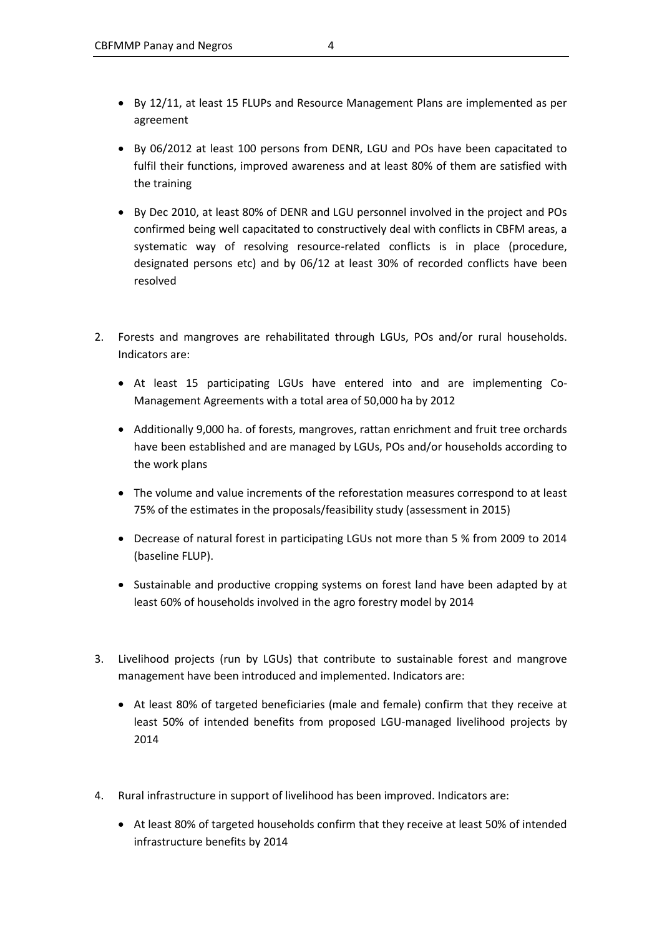- By 12/11, at least 15 FLUPs and Resource Management Plans are implemented as per agreement
- By 06/2012 at least 100 persons from DENR, LGU and POs have been capacitated to fulfil their functions, improved awareness and at least 80% of them are satisfied with the training
- By Dec 2010, at least 80% of DENR and LGU personnel involved in the project and POs confirmed being well capacitated to constructively deal with conflicts in CBFM areas, a systematic way of resolving resource-related conflicts is in place (procedure, designated persons etc) and by 06/12 at least 30% of recorded conflicts have been resolved
- 2. Forests and mangroves are rehabilitated through LGUs, POs and/or rural households. Indicators are:
	- At least 15 participating LGUs have entered into and are implementing Co-Management Agreements with a total area of 50,000 ha by 2012
	- Additionally 9,000 ha. of forests, mangroves, rattan enrichment and fruit tree orchards have been established and are managed by LGUs, POs and/or households according to the work plans
	- The volume and value increments of the reforestation measures correspond to at least 75% of the estimates in the proposals/feasibility study (assessment in 2015)
	- Decrease of natural forest in participating LGUs not more than 5 % from 2009 to 2014 (baseline FLUP).
	- Sustainable and productive cropping systems on forest land have been adapted by at least 60% of households involved in the agro forestry model by 2014
- 3. Livelihood projects (run by LGUs) that contribute to sustainable forest and mangrove management have been introduced and implemented. Indicators are:
	- At least 80% of targeted beneficiaries (male and female) confirm that they receive at least 50% of intended benefits from proposed LGU-managed livelihood projects by 2014
- 4. Rural infrastructure in support of livelihood has been improved. Indicators are:
	- At least 80% of targeted households confirm that they receive at least 50% of intended infrastructure benefits by 2014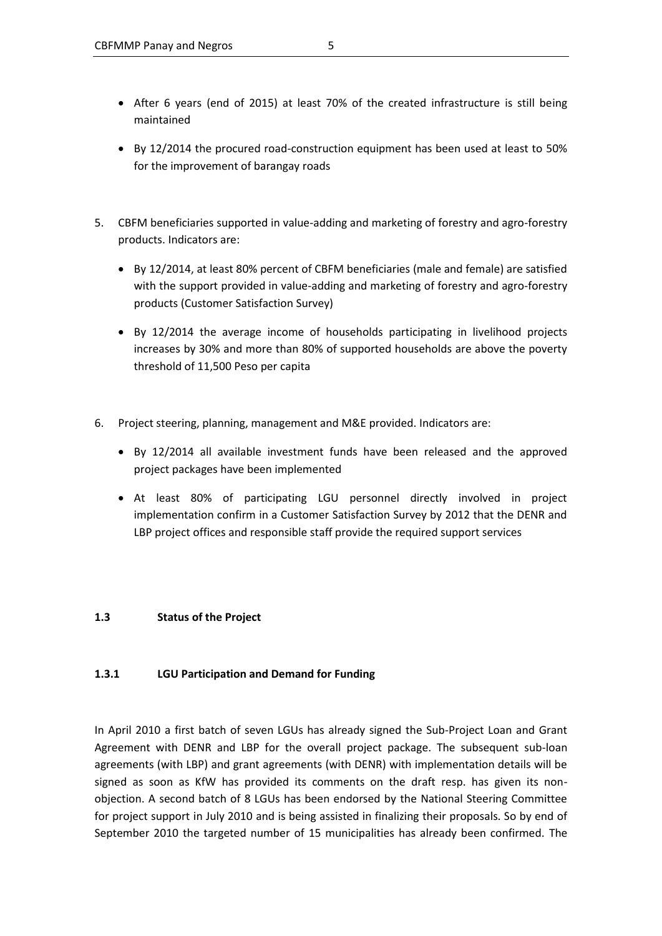- After 6 years (end of 2015) at least 70% of the created infrastructure is still being maintained
- By 12/2014 the procured road-construction equipment has been used at least to 50% for the improvement of barangay roads
- 5. CBFM beneficiaries supported in value-adding and marketing of forestry and agro-forestry products. Indicators are:
	- By 12/2014, at least 80% percent of CBFM beneficiaries (male and female) are satisfied with the support provided in value-adding and marketing of forestry and agro-forestry products (Customer Satisfaction Survey)
	- By 12/2014 the average income of households participating in livelihood projects increases by 30% and more than 80% of supported households are above the poverty threshold of 11,500 Peso per capita
- 6. Project steering, planning, management and M&E provided. Indicators are:
	- By 12/2014 all available investment funds have been released and the approved project packages have been implemented
	- At least 80% of participating LGU personnel directly involved in project implementation confirm in a Customer Satisfaction Survey by 2012 that the DENR and LBP project offices and responsible staff provide the required support services

#### **1.3 Status of the Project**

### **1.3.1 LGU Participation and Demand for Funding**

In April 2010 a first batch of seven LGUs has already signed the Sub-Project Loan and Grant Agreement with DENR and LBP for the overall project package. The subsequent sub-loan agreements (with LBP) and grant agreements (with DENR) with implementation details will be signed as soon as KfW has provided its comments on the draft resp. has given its nonobjection. A second batch of 8 LGUs has been endorsed by the National Steering Committee for project support in July 2010 and is being assisted in finalizing their proposals. So by end of September 2010 the targeted number of 15 municipalities has already been confirmed. The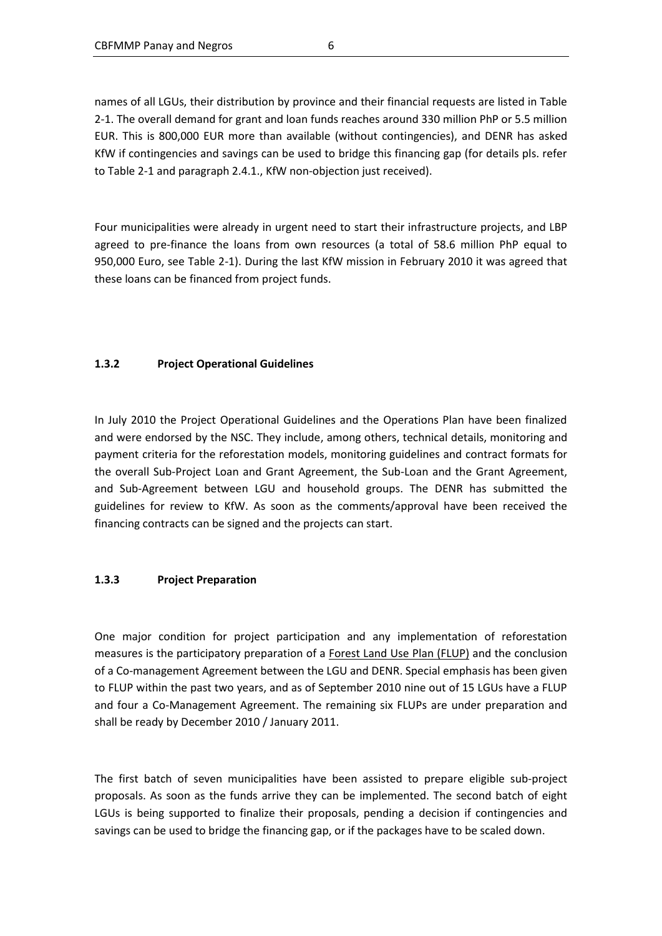names of all LGUs, their distribution by province and their financial requests are listed in Table 2-1. The overall demand for grant and loan funds reaches around 330 million PhP or 5.5 million EUR. This is 800,000 EUR more than available (without contingencies), and DENR has asked KfW if contingencies and savings can be used to bridge this financing gap (for details pls. refer to Table 2-1 and paragraph 2.4.1., KfW non-objection just received).

Four municipalities were already in urgent need to start their infrastructure projects, and LBP agreed to pre-finance the loans from own resources (a total of 58.6 million PhP equal to 950,000 Euro, see Table 2-1). During the last KfW mission in February 2010 it was agreed that these loans can be financed from project funds.

### **1.3.2 Project Operational Guidelines**

In July 2010 the Project Operational Guidelines and the Operations Plan have been finalized and were endorsed by the NSC. They include, among others, technical details, monitoring and payment criteria for the reforestation models, monitoring guidelines and contract formats for the overall Sub-Project Loan and Grant Agreement, the Sub-Loan and the Grant Agreement, and Sub-Agreement between LGU and household groups. The DENR has submitted the guidelines for review to KfW. As soon as the comments/approval have been received the financing contracts can be signed and the projects can start.

### **1.3.3 Project Preparation**

One major condition for project participation and any implementation of reforestation measures is the participatory preparation of a Forest Land Use Plan (FLUP) and the conclusion of a Co-management Agreement between the LGU and DENR. Special emphasis has been given to FLUP within the past two years, and as of September 2010 nine out of 15 LGUs have a FLUP and four a Co-Management Agreement. The remaining six FLUPs are under preparation and shall be ready by December 2010 / January 2011.

The first batch of seven municipalities have been assisted to prepare eligible sub-project proposals. As soon as the funds arrive they can be implemented. The second batch of eight LGUs is being supported to finalize their proposals, pending a decision if contingencies and savings can be used to bridge the financing gap, or if the packages have to be scaled down.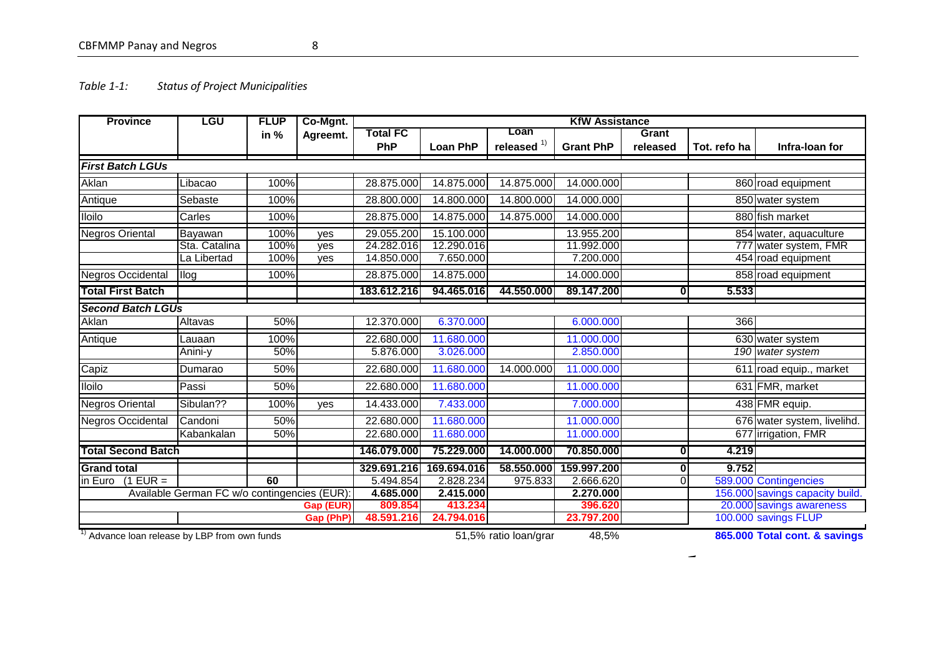### CBFMMP Panay and Negros 8

### *Table 1-1: Status of Project Municipalities*

<span id="page-14-0"></span>

| <b>Province</b>                                  | LGU                                          | <b>FLUP</b> | Co-Mgnt.  |                 |                 |                       | <b>KfW Assistance</b> |              |              |                                 |
|--------------------------------------------------|----------------------------------------------|-------------|-----------|-----------------|-----------------|-----------------------|-----------------------|--------------|--------------|---------------------------------|
|                                                  |                                              | in $%$      | Agreemt.  | <b>Total FC</b> |                 | Loan                  |                       | Grant        |              |                                 |
|                                                  |                                              |             |           | <b>PhP</b>      | <b>Loan PhP</b> | released $1$          | <b>Grant PhP</b>      | released     | Tot. refo ha | Infra-Ioan for                  |
| <b>First Batch LGUs</b>                          |                                              |             |           |                 |                 |                       |                       |              |              |                                 |
| Aklan                                            | Libacao                                      | 100%        |           | 28.875.000      | 14.875.000      | 14.875.000            | 14.000.000            |              |              | 860 road equipment              |
| Antique                                          | Sebaste                                      | 100%        |           | 28.800.000      | 14.800.000      | 14.800.000            | 14.000.000            |              |              | 850 water system                |
| <b>Iloilo</b>                                    | Carles                                       | 100%        |           | 28.875.000      | 14.875.000      | 14.875.000            | 14.000.000            |              |              | 880 fish market                 |
| <b>Negros Oriental</b>                           | Bayawan                                      | 100%        | ves       | 29.055.200      | 15.100.000      |                       | 13.955.200            |              |              | 854 water, aquaculture          |
|                                                  | Sta. Catalina                                | 100%        | ves       | 24.282.016      | 12.290.016      |                       | 11.992.000            |              |              | 777 water system, FMR           |
|                                                  | La Libertad                                  | 100%        | ves       | 14.850.000      | 7.650.000       |                       | 7.200.000             |              |              | 454 road equipment              |
| <b>Negros Occidental</b>                         | llog                                         | 100%        |           | 28.875.000      | 14.875.000      |                       | 14.000.000            |              |              | 858 road equipment              |
| <b>Total First Batch</b>                         |                                              |             |           | 183.612.216     | 94.465.016      | 44.550.000            | 89.147.200            | $\mathbf{0}$ | 5.533        |                                 |
| <b>Second Batch LGUs</b>                         |                                              |             |           |                 |                 |                       |                       |              |              |                                 |
| Aklan                                            | Altavas                                      | 50%         |           | 12.370.000      | 6.370.000       |                       | 6.000.000             |              | 366          |                                 |
| Antique                                          | Lauaan                                       | 100%        |           | 22.680.000      | 11.680.000      |                       | 11.000.000            |              |              | 630 water system                |
|                                                  | Anini-y                                      | 50%         |           | 5.876.000       | 3.026.000       |                       | 2.850.000             |              |              | 190 water system                |
| Capiz                                            | Dumarao                                      | 50%         |           | 22.680.000      | 11.680.000      | 14.000.000            | 11.000.000            |              |              | 611 road equip., market         |
| <b>Iloilo</b>                                    | Passi                                        | 50%         |           | 22.680.000      | 11.680.000      |                       | 11.000.000            |              |              | 631 FMR, market                 |
| <b>Negros Oriental</b>                           | Sibulan??                                    | 100%        | ves       | 14.433.000      | 7.433.000       |                       | 7.000.000             |              |              | 438 FMR equip.                  |
| <b>Negros Occidental</b>                         | Candoni                                      | 50%         |           | 22.680.000      | 11.680.000      |                       | 11.000.000            |              |              | 676 water system, livelihd.     |
|                                                  | Kabankalan                                   | 50%         |           | 22.680.000      | 11.680.000      |                       | 11.000.000            |              |              | 677 irrigation, FMR             |
| <b>Total Second Batch</b>                        |                                              |             |           | 146.079.000     | 75.229.000      | 14.000.000            | 70.850.000            | 0            | 4.219        |                                 |
| <b>Grand total</b>                               |                                              |             |           | 329.691.216     | 169.694.016     | 58.550.000            | 159.997.200           | 0            | 9.752        |                                 |
| $(1$ EUR =<br>in Euro                            |                                              | 60          |           | 5.494.854       | 2.828.234       | 975.833               | 2.666.620             |              |              | 589.000 Contingencies           |
|                                                  | Available German FC w/o contingencies (EUR): |             |           | 4.685.000       | 2.415.000       |                       | 2.270.000             |              |              | 156.000 savings capacity build. |
|                                                  |                                              |             | Gap (EUR) | 809.854         | 413.234         |                       | 396.620               |              |              | 20.000 savings awareness        |
|                                                  |                                              |             | Gap (PhP) | 48.591.216      | 24.794.016      |                       | 23.797.200            |              |              | 100.000 savings FLUP            |
| 1)<br>Advance loan release by LBP from own funds |                                              |             |           |                 |                 | 51,5% ratio loan/grar | 48,5%                 |              |              | 865.000 Total cont. & savings   |

 $\overline{\phantom{a}}$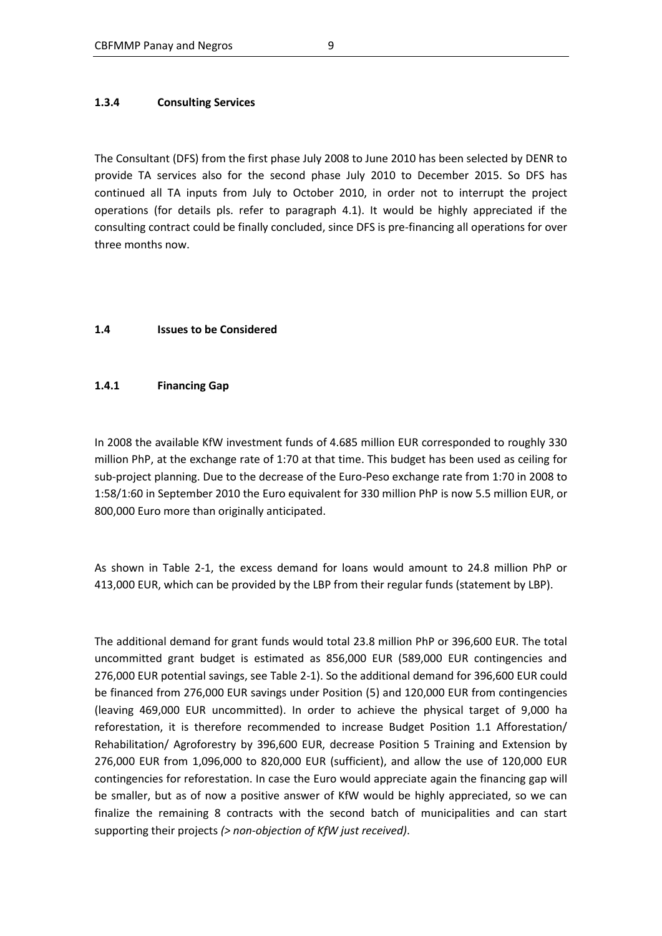#### **1.3.4 Consulting Services**

The Consultant (DFS) from the first phase July 2008 to June 2010 has been selected by DENR to provide TA services also for the second phase July 2010 to December 2015. So DFS has continued all TA inputs from July to October 2010, in order not to interrupt the project operations (for details pls. refer to paragraph 4.1). It would be highly appreciated if the consulting contract could be finally concluded, since DFS is pre-financing all operations for over three months now.

#### **1.4 Issues to be Considered**

#### **1.4.1 Financing Gap**

In 2008 the available KfW investment funds of 4.685 million EUR corresponded to roughly 330 million PhP, at the exchange rate of 1:70 at that time. This budget has been used as ceiling for sub-project planning. Due to the decrease of the Euro-Peso exchange rate from 1:70 in 2008 to 1:58/1:60 in September 2010 the Euro equivalent for 330 million PhP is now 5.5 million EUR, or 800,000 Euro more than originally anticipated.

As shown in Table 2-1, the excess demand for loans would amount to 24.8 million PhP or 413,000 EUR, which can be provided by the LBP from their regular funds (statement by LBP).

The additional demand for grant funds would total 23.8 million PhP or 396,600 EUR. The total uncommitted grant budget is estimated as 856,000 EUR (589,000 EUR contingencies and 276,000 EUR potential savings, see Table 2-1). So the additional demand for 396,600 EUR could be financed from 276,000 EUR savings under Position (5) and 120,000 EUR from contingencies (leaving 469,000 EUR uncommitted). In order to achieve the physical target of 9,000 ha reforestation, it is therefore recommended to increase Budget Position 1.1 Afforestation/ Rehabilitation/ Agroforestry by 396,600 EUR, decrease Position 5 Training and Extension by 276,000 EUR from 1,096,000 to 820,000 EUR (sufficient), and allow the use of 120,000 EUR contingencies for reforestation. In case the Euro would appreciate again the financing gap will be smaller, but as of now a positive answer of KfW would be highly appreciated, so we can finalize the remaining 8 contracts with the second batch of municipalities and can start supporting their projects *(> non-objection of KfW just received)*.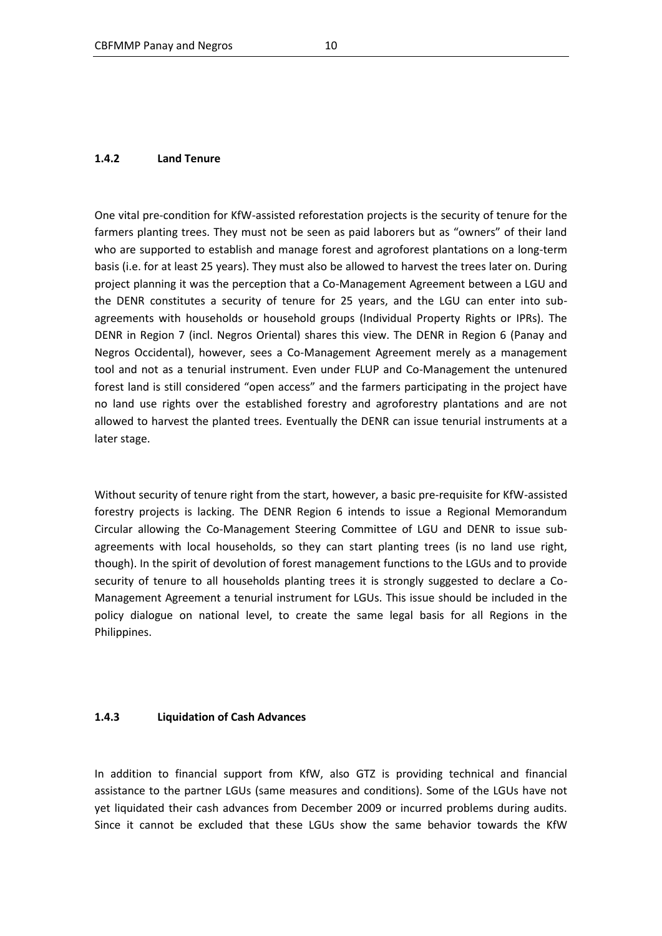#### **1.4.2 Land Tenure**

One vital pre-condition for KfW-assisted reforestation projects is the security of tenure for the farmers planting trees. They must not be seen as paid laborers but as "owners" of their land who are supported to establish and manage forest and agroforest plantations on a long-term basis (i.e. for at least 25 years). They must also be allowed to harvest the trees later on. During project planning it was the perception that a Co-Management Agreement between a LGU and the DENR constitutes a security of tenure for 25 years, and the LGU can enter into subagreements with households or household groups (Individual Property Rights or IPRs). The DENR in Region 7 (incl. Negros Oriental) shares this view. The DENR in Region 6 (Panay and Negros Occidental), however, sees a Co-Management Agreement merely as a management tool and not as a tenurial instrument. Even under FLUP and Co-Management the untenured forest land is still considered "open access" and the farmers participating in the project have no land use rights over the established forestry and agroforestry plantations and are not allowed to harvest the planted trees. Eventually the DENR can issue tenurial instruments at a later stage.

Without security of tenure right from the start, however, a basic pre-requisite for KfW-assisted forestry projects is lacking. The DENR Region 6 intends to issue a Regional Memorandum Circular allowing the Co-Management Steering Committee of LGU and DENR to issue subagreements with local households, so they can start planting trees (is no land use right, though). In the spirit of devolution of forest management functions to the LGUs and to provide security of tenure to all households planting trees it is strongly suggested to declare a Co-Management Agreement a tenurial instrument for LGUs. This issue should be included in the policy dialogue on national level, to create the same legal basis for all Regions in the Philippines.

#### **1.4.3 Liquidation of Cash Advances**

In addition to financial support from KfW, also GTZ is providing technical and financial assistance to the partner LGUs (same measures and conditions). Some of the LGUs have not yet liquidated their cash advances from December 2009 or incurred problems during audits. Since it cannot be excluded that these LGUs show the same behavior towards the KfW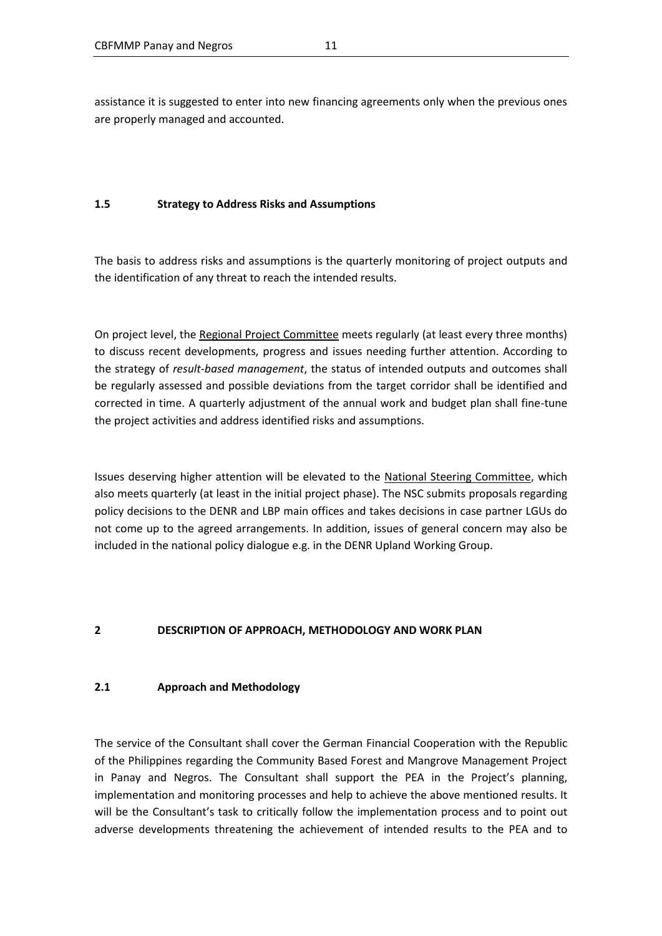assistance it is suggested to enter into new financing agreements only when the previous ones are properly managed and accounted.

#### **1.5 Strategy to Address Risks and Assumptions**

The basis to address risks and assumptions is the quarterly monitoring of project outputs and the identification of any threat to reach the intended results.

On project level, the Regional Project Committee meets regularly (at least every three months) to discuss recent developments, progress and issues needing further attention. According to the strategy of *result-based management*, the status of intended outputs and outcomes shall be regularly assessed and possible deviations from the target corridor shall be identified and corrected in time. A quarterly adjustment of the annual work and budget plan shall fine-tune the project activities and address identified risks and assumptions.

Issues deserving higher attention will be elevated to the National Steering Committee, which also meets quarterly (at least in the initial project phase). The NSC submits proposals regarding policy decisions to the DENR and LBP main offices and takes decisions in case partner LGUs do not come up to the agreed arrangements. In addition, issues of general concern may also be included in the national policy dialogue e.g. in the DENR Upland Working Group.

### **2 DESCRIPTION OF APPROACH, METHODOLOGY AND WORK PLAN**

#### **2.1 Approach and Methodology**

The service of the Consultant shall cover the German Financial Cooperation with the Republic of the Philippines regarding the Community Based Forest and Mangrove Management Project in Panay and Negros. The Consultant shall support the PEA in the Project's planning, implementation and monitoring processes and help to achieve the above mentioned results. It will be the Consultant's task to critically follow the implementation process and to point out adverse developments threatening the achievement of intended results to the PEA and to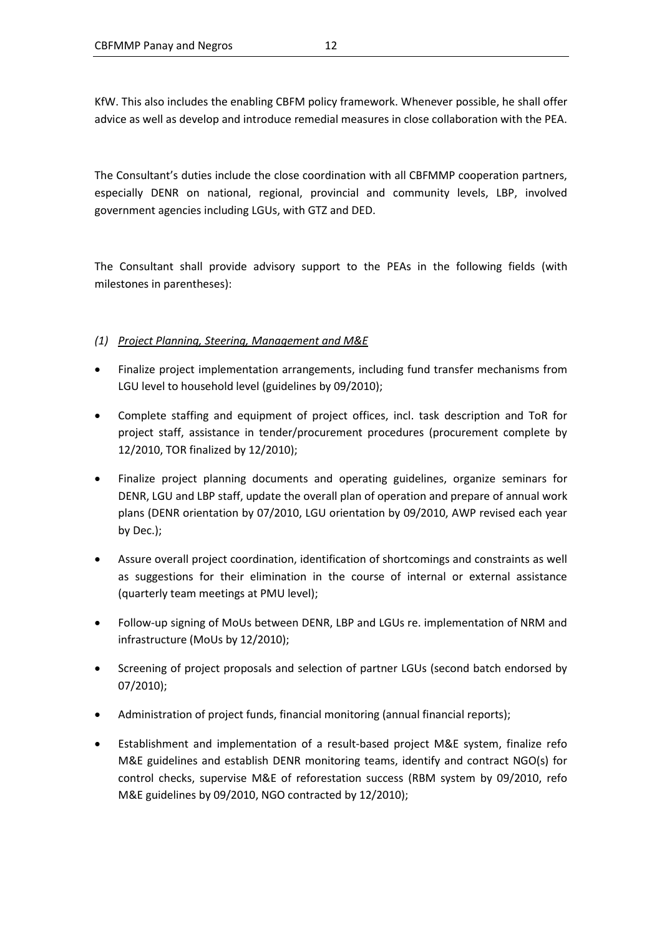KfW. This also includes the enabling CBFM policy framework. Whenever possible, he shall offer advice as well as develop and introduce remedial measures in close collaboration with the PEA.

The Consultant's duties include the close coordination with all CBFMMP cooperation partners, especially DENR on national, regional, provincial and community levels, LBP, involved government agencies including LGUs, with GTZ and DED.

The Consultant shall provide advisory support to the PEAs in the following fields (with milestones in parentheses):

### *(1) Project Planning, Steering, Management and M&E*

- Finalize project implementation arrangements, including fund transfer mechanisms from LGU level to household level (guidelines by 09/2010);
- Complete staffing and equipment of project offices, incl. task description and ToR for project staff, assistance in tender/procurement procedures (procurement complete by 12/2010, TOR finalized by 12/2010);
- Finalize project planning documents and operating guidelines, organize seminars for DENR, LGU and LBP staff, update the overall plan of operation and prepare of annual work plans (DENR orientation by 07/2010, LGU orientation by 09/2010, AWP revised each year by Dec.);
- Assure overall project coordination, identification of shortcomings and constraints as well as suggestions for their elimination in the course of internal or external assistance (quarterly team meetings at PMU level);
- Follow-up signing of MoUs between DENR, LBP and LGUs re. implementation of NRM and infrastructure (MoUs by 12/2010);
- Screening of project proposals and selection of partner LGUs (second batch endorsed by 07/2010);
- Administration of project funds, financial monitoring (annual financial reports);
- Establishment and implementation of a result-based project M&E system, finalize refo M&E guidelines and establish DENR monitoring teams, identify and contract NGO(s) for control checks, supervise M&E of reforestation success (RBM system by 09/2010, refo M&E guidelines by 09/2010, NGO contracted by 12/2010);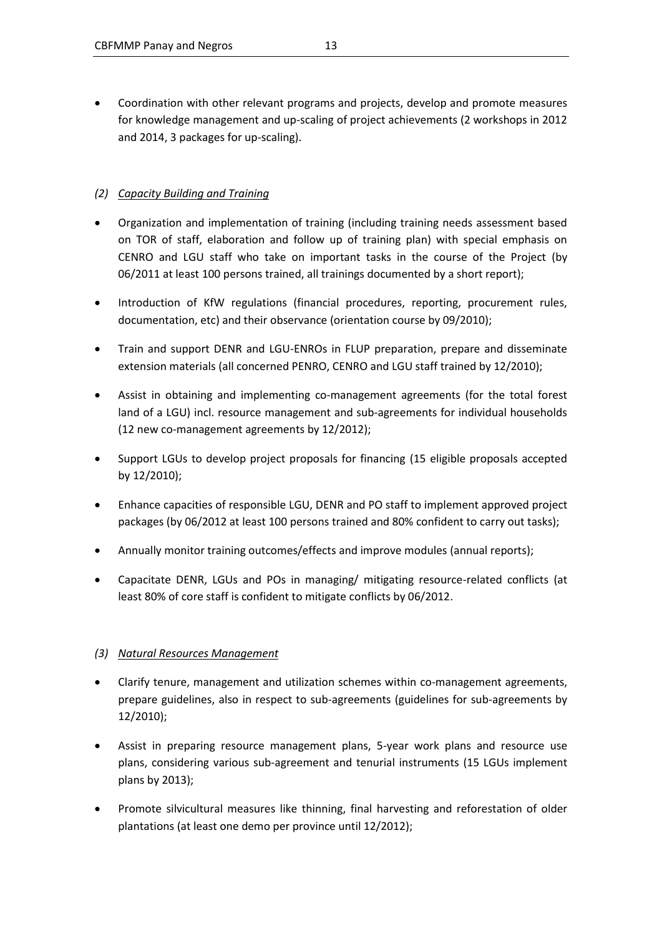Coordination with other relevant programs and projects, develop and promote measures for knowledge management and up-scaling of project achievements (2 workshops in 2012 and 2014, 3 packages for up-scaling).

# *(2) Capacity Building and Training*

- Organization and implementation of training (including training needs assessment based on TOR of staff, elaboration and follow up of training plan) with special emphasis on CENRO and LGU staff who take on important tasks in the course of the Project (by 06/2011 at least 100 persons trained, all trainings documented by a short report);
- Introduction of KfW regulations (financial procedures, reporting, procurement rules, documentation, etc) and their observance (orientation course by 09/2010);
- Train and support DENR and LGU-ENROs in FLUP preparation, prepare and disseminate extension materials (all concerned PENRO, CENRO and LGU staff trained by 12/2010);
- Assist in obtaining and implementing co-management agreements (for the total forest land of a LGU) incl. resource management and sub-agreements for individual households (12 new co-management agreements by 12/2012);
- Support LGUs to develop project proposals for financing (15 eligible proposals accepted by 12/2010);
- Enhance capacities of responsible LGU, DENR and PO staff to implement approved project packages (by 06/2012 at least 100 persons trained and 80% confident to carry out tasks);
- Annually monitor training outcomes/effects and improve modules (annual reports);
- Capacitate DENR, LGUs and POs in managing/ mitigating resource-related conflicts (at least 80% of core staff is confident to mitigate conflicts by 06/2012.

# *(3) Natural Resources Management*

- Clarify tenure, management and utilization schemes within co-management agreements, prepare guidelines, also in respect to sub-agreements (guidelines for sub-agreements by 12/2010);
- Assist in preparing resource management plans, 5-year work plans and resource use plans, considering various sub-agreement and tenurial instruments (15 LGUs implement plans by 2013);
- Promote silvicultural measures like thinning, final harvesting and reforestation of older plantations (at least one demo per province until 12/2012);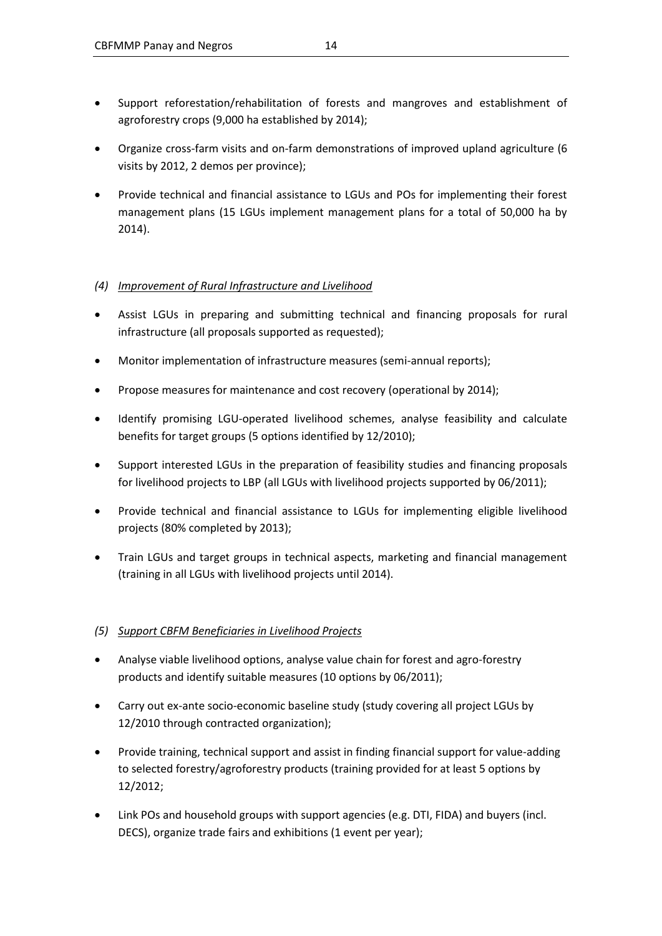- Support reforestation/rehabilitation of forests and mangroves and establishment of agroforestry crops (9,000 ha established by 2014);
- Organize cross-farm visits and on-farm demonstrations of improved upland agriculture (6 visits by 2012, 2 demos per province);
- Provide technical and financial assistance to LGUs and POs for implementing their forest management plans (15 LGUs implement management plans for a total of 50,000 ha by 2014).

### *(4) Improvement of Rural Infrastructure and Livelihood*

- Assist LGUs in preparing and submitting technical and financing proposals for rural infrastructure (all proposals supported as requested);
- Monitor implementation of infrastructure measures (semi-annual reports);
- Propose measures for maintenance and cost recovery (operational by 2014);
- Identify promising LGU-operated livelihood schemes, analyse feasibility and calculate benefits for target groups (5 options identified by 12/2010);
- Support interested LGUs in the preparation of feasibility studies and financing proposals for livelihood projects to LBP (all LGUs with livelihood projects supported by 06/2011);
- Provide technical and financial assistance to LGUs for implementing eligible livelihood projects (80% completed by 2013);
- Train LGUs and target groups in technical aspects, marketing and financial management (training in all LGUs with livelihood projects until 2014).

### *(5) Support CBFM Beneficiaries in Livelihood Projects*

- Analyse viable livelihood options, analyse value chain for forest and agro-forestry products and identify suitable measures (10 options by 06/2011);
- Carry out ex-ante socio-economic baseline study (study covering all project LGUs by 12/2010 through contracted organization);
- Provide training, technical support and assist in finding financial support for value-adding to selected forestry/agroforestry products (training provided for at least 5 options by 12/2012;
- Link POs and household groups with support agencies (e.g. DTI, FIDA) and buyers (incl. DECS), organize trade fairs and exhibitions (1 event per year);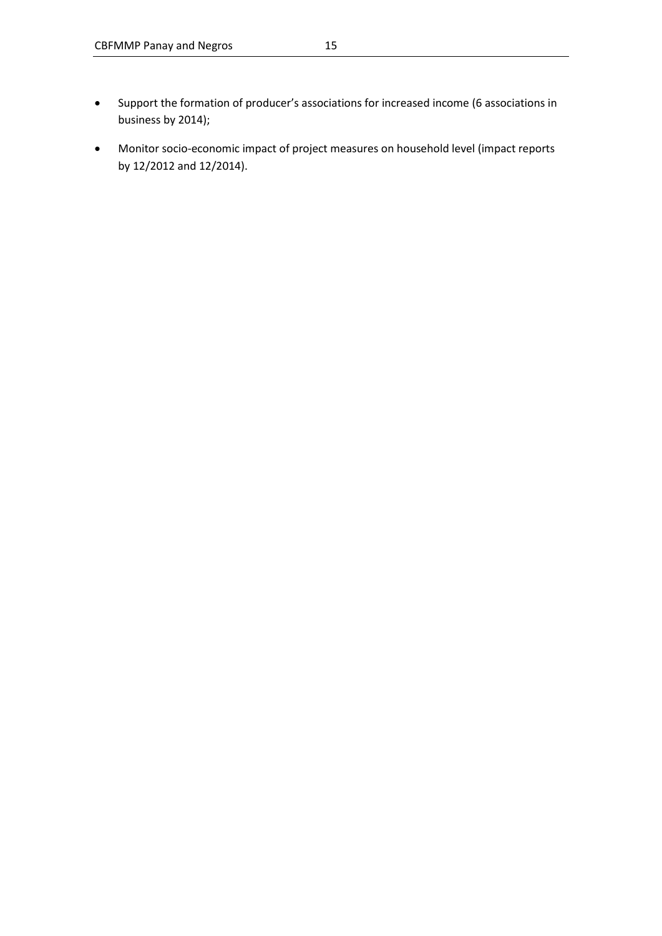- Support the formation of producer's associations for increased income (6 associations in business by 2014);
- Monitor socio-economic impact of project measures on household level (impact reports by 12/2012 and 12/2014).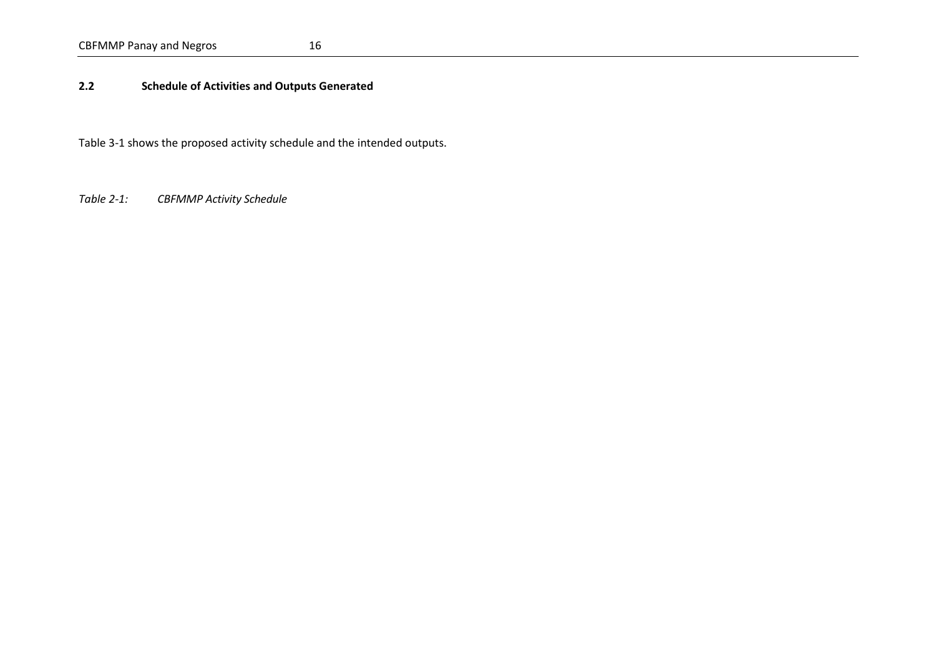# CBFMMP Panay and Negros 16

## **2.2 Schedule of Activities and Outputs Generated**

Table 3-1 shows the proposed activity schedule and the intended outputs.

<span id="page-22-0"></span>*Table 2-1: CBFMMP Activity Schedule*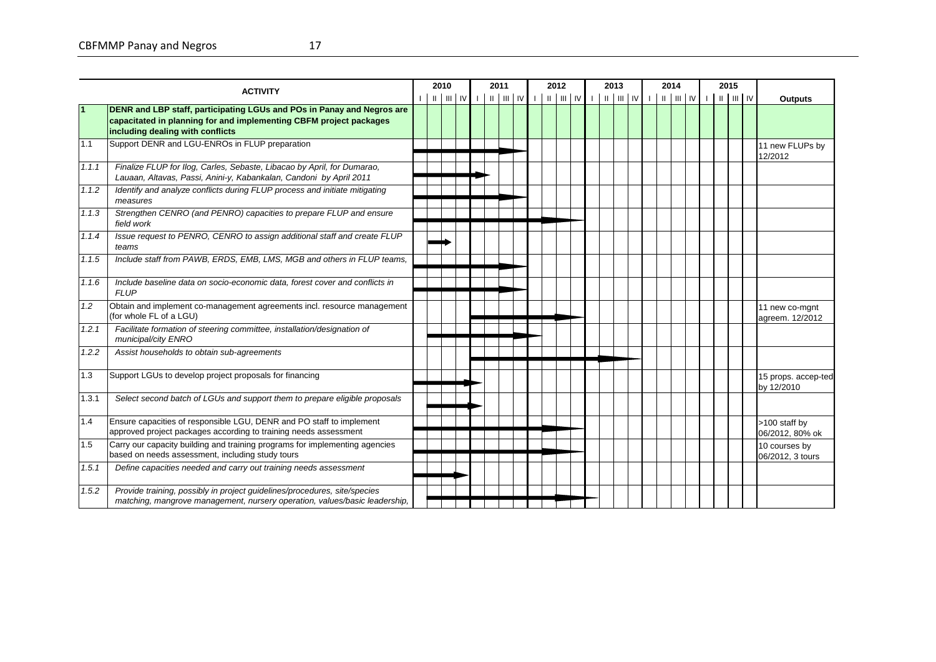*GPS, GIS on regional & provincial level,* 

|                |                                                                                                                                                                                  | 2010 |             | 2011 |  |  | 2012 |  | 2013 |  | 2014 |  | 2015 |                                   |
|----------------|----------------------------------------------------------------------------------------------------------------------------------------------------------------------------------|------|-------------|------|--|--|------|--|------|--|------|--|------|-----------------------------------|
|                | <b>ACTIVITY</b>                                                                                                                                                                  |      | L FILLIN LE |      |  |  |      |  |      |  |      |  |      | <b>Outputs</b>                    |
| $\blacksquare$ | DENR and LBP staff, participating LGUs and POs in Panay and Negros are<br>capacitated in planning for and implementing CBFM project packages<br>including dealing with conflicts |      |             |      |  |  |      |  |      |  |      |  |      |                                   |
| 1.1            | Support DENR and LGU-ENROs in FLUP preparation                                                                                                                                   |      |             |      |  |  |      |  |      |  |      |  |      | 11 new FLUPs by<br>12/2012        |
| 1.1.1          | Finalize FLUP for Ilog, Carles, Sebaste, Libacao by April, for Dumarao,<br>Lauaan, Altavas, Passi, Anini-y, Kabankalan, Candoni by April 2011                                    |      |             |      |  |  |      |  |      |  |      |  |      |                                   |
| 1.1.2          | Identify and analyze conflicts during FLUP process and initiate mitigating<br>measures                                                                                           |      |             |      |  |  |      |  |      |  |      |  |      |                                   |
| 1.1.3          | Strengthen CENRO (and PENRO) capacities to prepare FLUP and ensure<br>field work                                                                                                 |      |             |      |  |  |      |  |      |  |      |  |      |                                   |
| 1.1.4          | Issue request to PENRO, CENRO to assign additional staff and create FLUP<br>teams                                                                                                |      |             |      |  |  |      |  |      |  |      |  |      |                                   |
| 1.1.5          | Include staff from PAWB, ERDS, EMB, LMS, MGB and others in FLUP teams,                                                                                                           |      |             |      |  |  |      |  |      |  |      |  |      |                                   |
| 1.1.6          | Include baseline data on socio-economic data, forest cover and conflicts in<br><b>FLUP</b>                                                                                       |      |             |      |  |  |      |  |      |  |      |  |      |                                   |
| 1.2            | Obtain and implement co-management agreements incl. resource management<br>(for whole FL of a LGU)                                                                               |      |             |      |  |  |      |  |      |  |      |  |      | 11 new co-mgnt<br>agreem. 12/2012 |
| 1.2.1          | Facilitate formation of steering committee, installation/designation of<br>municipal/city ENRO                                                                                   |      |             |      |  |  |      |  |      |  |      |  |      |                                   |
| 1.2.2          | Assist households to obtain sub-agreements                                                                                                                                       |      |             |      |  |  |      |  |      |  |      |  |      |                                   |
| 1.3            | Support LGUs to develop project proposals for financing                                                                                                                          |      |             |      |  |  |      |  |      |  |      |  |      | 15 props. accep-ted<br>by 12/2010 |
| 1.3.1          | Select second batch of LGUs and support them to prepare eligible proposals                                                                                                       |      |             |      |  |  |      |  |      |  |      |  |      |                                   |
| 1.4            | Ensure capacities of responsible LGU, DENR and PO staff to implement<br>approved project packages according to training needs assessment                                         |      |             |      |  |  |      |  |      |  |      |  |      | >100 staff by<br>06/2012, 80% ok  |
| 1.5            | Carry our capacity building and training programs for implementing agencies<br>based on needs assessment, including study tours                                                  |      |             |      |  |  |      |  |      |  |      |  |      | 10 courses by<br>06/2012, 3 tours |
| 1.5.1          | Define capacities needed and carry out training needs assessment                                                                                                                 |      |             |      |  |  |      |  |      |  |      |  |      |                                   |
| 1.5.2          | Provide training, possibly in project guidelines/procedures, site/species<br>matching, mangrove management, nursery operation, values/basic leadership,                          |      |             |      |  |  |      |  |      |  |      |  |      |                                   |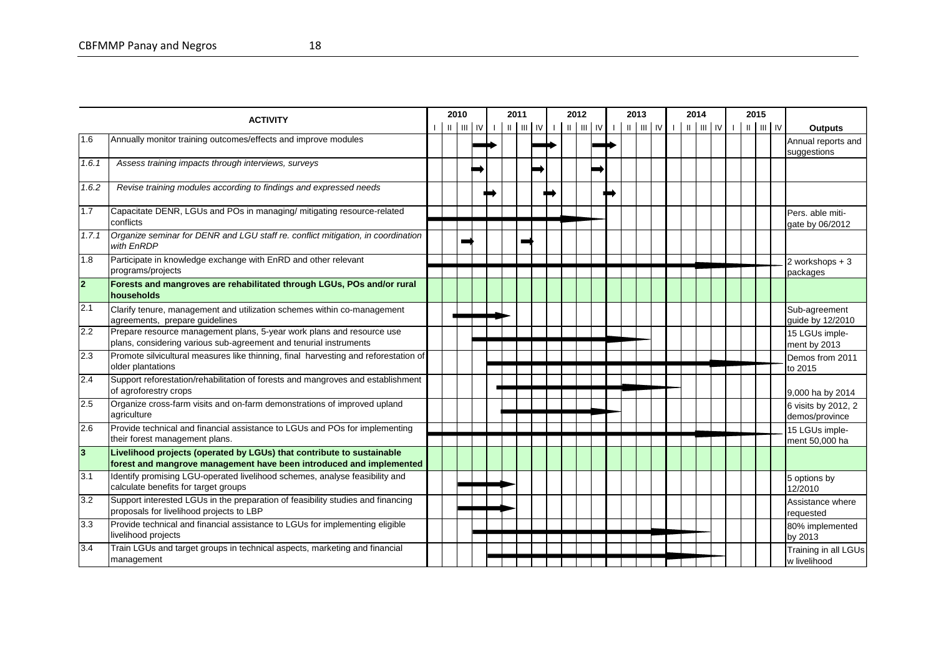|                  | <b>ACTIVITY</b>                                                                                                                              | 2010 |                  |                | 2011 |                                                                                                 |  | 2012 |  | 2013 |  | 2014 |                                |  | 2015                                                                                |                                       |
|------------------|----------------------------------------------------------------------------------------------------------------------------------------------|------|------------------|----------------|------|-------------------------------------------------------------------------------------------------|--|------|--|------|--|------|--------------------------------|--|-------------------------------------------------------------------------------------|---------------------------------------|
|                  |                                                                                                                                              |      | $   \cdot      $ | $\blacksquare$ |      | $\parallel$ $\parallel$ $\parallel$ $\parallel$ $\parallel$ $\parallel$ $\parallel$ $\parallel$ |  |      |  |      |  |      | $   \cdot      $ $   \cdot   $ |  | $\parallel$ $\parallel$ $\parallel$ $\parallel$ $\parallel$ $\parallel$ $\parallel$ | <b>Outputs</b>                        |
| 1.6              | Annually monitor training outcomes/effects and improve modules                                                                               |      |                  |                |      |                                                                                                 |  |      |  |      |  |      |                                |  |                                                                                     | Annual reports and<br>suggestions     |
| 1.6.1            | Assess training impacts through interviews, surveys                                                                                          |      |                  |                |      |                                                                                                 |  |      |  |      |  |      |                                |  |                                                                                     |                                       |
| 1.6.2            | Revise training modules according to findings and expressed needs                                                                            |      |                  |                |      |                                                                                                 |  |      |  |      |  |      |                                |  |                                                                                     |                                       |
| 1.7              | Capacitate DENR, LGUs and POs in managing/ mitigating resource-related<br>conflicts                                                          |      |                  |                |      |                                                                                                 |  |      |  |      |  |      |                                |  |                                                                                     | Pers. able miti-<br>gate by 06/2012   |
| 1.7.1            | Organize seminar for DENR and LGU staff re. conflict mitigation, in coordination<br>with EnRDP                                               |      |                  |                |      |                                                                                                 |  |      |  |      |  |      |                                |  |                                                                                     |                                       |
| 1.8              | Participate in knowledge exchange with EnRD and other relevant<br>programs/projects                                                          |      |                  |                |      |                                                                                                 |  |      |  |      |  |      |                                |  |                                                                                     | 2 workshops $+3$<br>packages          |
| $\overline{2}$   | Forests and mangroves are rehabilitated through LGUs, POs and/or rural<br><b>Ihouseholds</b>                                                 |      |                  |                |      |                                                                                                 |  |      |  |      |  |      |                                |  |                                                                                     |                                       |
| 2.1              | Clarify tenure, management and utilization schemes within co-management<br>agreements, prepare guidelines                                    |      |                  |                |      |                                                                                                 |  |      |  |      |  |      |                                |  |                                                                                     | Sub-agreement<br>guide by 12/2010     |
| 2.2              | Prepare resource management plans, 5-year work plans and resource use<br>plans, considering various sub-agreement and tenurial instruments   |      |                  |                |      |                                                                                                 |  |      |  |      |  |      |                                |  |                                                                                     | 15 LGUs imple-<br>ment by 2013        |
| 2.3              | Promote silvicultural measures like thinning, final harvesting and reforestation of<br>older plantations                                     |      |                  |                |      |                                                                                                 |  |      |  |      |  |      |                                |  |                                                                                     | Demos from 2011<br>to 2015            |
| 2.4              | Support reforestation/rehabilitation of forests and mangroves and establishment<br>of agroforestry crops                                     |      |                  |                |      |                                                                                                 |  |      |  |      |  |      |                                |  |                                                                                     | 9,000 ha by 2014                      |
| 2.5              | Organize cross-farm visits and on-farm demonstrations of improved upland<br>agriculture                                                      |      |                  |                |      |                                                                                                 |  |      |  |      |  |      |                                |  |                                                                                     | 6 visits by 2012, 2<br>demos/province |
| 2.6              | Provide technical and financial assistance to LGUs and POs for implementing<br>their forest management plans.                                |      |                  |                |      |                                                                                                 |  |      |  |      |  |      |                                |  |                                                                                     | 15 LGUs imple-<br>ment 50,000 ha      |
| $\overline{3}$   | Livelihood projects (operated by LGUs) that contribute to sustainable<br>forest and mangrove management have been introduced and implemented |      |                  |                |      |                                                                                                 |  |      |  |      |  |      |                                |  |                                                                                     |                                       |
| $\overline{3.1}$ | Identify promising LGU-operated livelihood schemes, analyse feasibility and<br>calculate benefits for target groups                          |      |                  |                |      |                                                                                                 |  |      |  |      |  |      |                                |  |                                                                                     | 5 options by<br>12/2010               |
| 3.2              | Support interested LGUs in the preparation of feasibility studies and financing<br>proposals for livelihood projects to LBP                  |      |                  |                |      |                                                                                                 |  |      |  |      |  |      |                                |  |                                                                                     | Assistance where<br>requested         |
| 3.3              | Provide technical and financial assistance to LGUs for implementing eligible<br>livelihood projects                                          |      |                  |                |      |                                                                                                 |  |      |  |      |  |      |                                |  |                                                                                     | 80% implemented<br>by 2013            |
| 3.4              | Train LGUs and target groups in technical aspects, marketing and financial<br>management                                                     |      |                  |                |      |                                                                                                 |  |      |  |      |  |      |                                |  |                                                                                     | Training in all LGUs<br>w livelihood  |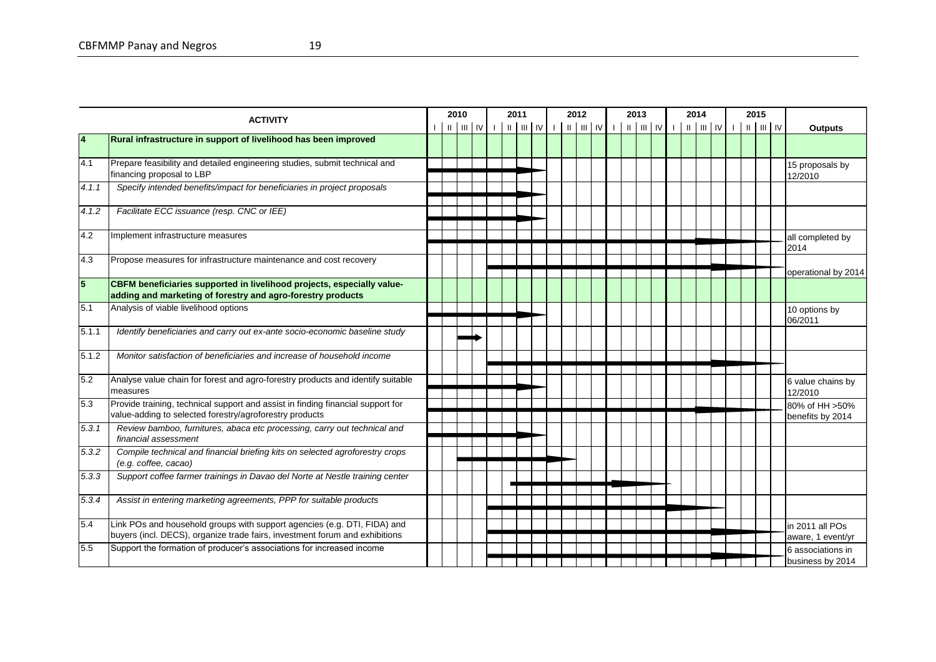|                | <b>ACTIVITY</b>                                                                                                                                         |  | 2010 |                                                                                                                                                |  | 2011 |  | 2012 |  | 2013 |  | 2014 |  | 2015 |  |                                       |
|----------------|---------------------------------------------------------------------------------------------------------------------------------------------------------|--|------|------------------------------------------------------------------------------------------------------------------------------------------------|--|------|--|------|--|------|--|------|--|------|--|---------------------------------------|
|                |                                                                                                                                                         |  |      | $\left  \begin{array}{c} \text{ii} \\ \text{iii} \end{array} \right $ IV $\left  \begin{array}{c} \text{iii} \\ \text{iv} \end{array} \right $ |  |      |  |      |  |      |  |      |  |      |  | <b>Outputs</b>                        |
| $\overline{4}$ | Rural infrastructure in support of livelihood has been improved                                                                                         |  |      |                                                                                                                                                |  |      |  |      |  |      |  |      |  |      |  |                                       |
| 4.1            | Prepare feasibility and detailed engineering studies, submit technical and<br>financing proposal to LBP                                                 |  |      |                                                                                                                                                |  |      |  |      |  |      |  |      |  |      |  | 15 proposals by<br>12/2010            |
| 4.1.1          | Specify intended benefits/impact for beneficiaries in project proposals                                                                                 |  |      |                                                                                                                                                |  |      |  |      |  |      |  |      |  |      |  |                                       |
| 4.1.2          | Facilitate ECC issuance (resp. CNC or IEE)                                                                                                              |  |      |                                                                                                                                                |  |      |  |      |  |      |  |      |  |      |  |                                       |
| 4.2            | Implement infrastructure measures                                                                                                                       |  |      |                                                                                                                                                |  |      |  |      |  |      |  |      |  |      |  | all completed by<br>2014              |
| 4.3            | Propose measures for infrastructure maintenance and cost recovery                                                                                       |  |      |                                                                                                                                                |  |      |  |      |  |      |  |      |  |      |  | operational by 2014                   |
| $\overline{5}$ | CBFM beneficiaries supported in livelihood projects, especially value-<br>adding and marketing of forestry and agro-forestry products                   |  |      |                                                                                                                                                |  |      |  |      |  |      |  |      |  |      |  |                                       |
| 5.1            | Analysis of viable livelihood options                                                                                                                   |  |      |                                                                                                                                                |  |      |  |      |  |      |  |      |  |      |  | 10 options by<br>06/2011              |
| 5.1.1          | Identify beneficiaries and carry out ex-ante socio-economic baseline study                                                                              |  |      |                                                                                                                                                |  |      |  |      |  |      |  |      |  |      |  |                                       |
| 5.1.2          | Monitor satisfaction of beneficiaries and increase of household income                                                                                  |  |      |                                                                                                                                                |  |      |  |      |  |      |  |      |  |      |  |                                       |
| 5.2            | Analyse value chain for forest and agro-forestry products and identify suitable<br>measures                                                             |  |      |                                                                                                                                                |  |      |  |      |  |      |  |      |  |      |  | 6 value chains by<br>12/2010          |
| 5.3            | Provide training, technical support and assist in finding financial support for<br>value-adding to selected forestry/agroforestry products              |  |      |                                                                                                                                                |  |      |  |      |  |      |  |      |  |      |  | 80% of HH >50%<br>benefits by 2014    |
| 5.3.1          | Review bamboo, furnitures, abaca etc processing, carry out technical and<br>financial assessment                                                        |  |      |                                                                                                                                                |  |      |  |      |  |      |  |      |  |      |  |                                       |
| 5.3.2          | Compile technical and financial briefing kits on selected agroforestry crops<br>(e.g. coffee, cacao)                                                    |  |      |                                                                                                                                                |  |      |  |      |  |      |  |      |  |      |  |                                       |
| 5.3.3          | Support coffee farmer trainings in Davao del Norte at Nestle training center                                                                            |  |      |                                                                                                                                                |  |      |  |      |  |      |  |      |  |      |  |                                       |
| 5.3.4          | Assist in entering marketing agreements, PPP for suitable products                                                                                      |  |      |                                                                                                                                                |  |      |  |      |  |      |  |      |  |      |  |                                       |
| 5.4            | Link POs and household groups with support agencies (e.g. DTI, FIDA) and<br>buyers (incl. DECS), organize trade fairs, investment forum and exhibitions |  |      |                                                                                                                                                |  |      |  |      |  |      |  |      |  |      |  | in 2011 all POs<br>aware, 1 event/yr  |
| 5.5            | Support the formation of producer's associations for increased income                                                                                   |  |      |                                                                                                                                                |  |      |  |      |  |      |  |      |  |      |  | 6 associations in<br>business by 2014 |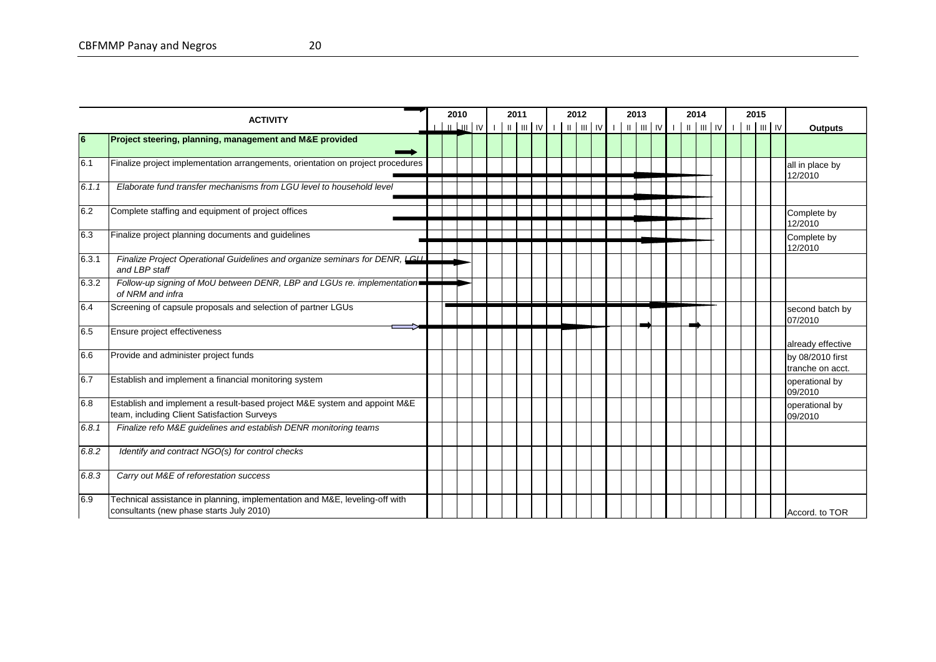|       | <b>ACTIVITY</b>                                                                                                          |  | 2010                   |  | 2011 |  | 2012 |  | 2013 |  | 2014 |  | 2015 |                                      |
|-------|--------------------------------------------------------------------------------------------------------------------------|--|------------------------|--|------|--|------|--|------|--|------|--|------|--------------------------------------|
|       |                                                                                                                          |  | $\frac{1}{2}$ IV IV II |  |      |  |      |  |      |  |      |  |      | <b>Outputs</b>                       |
| 6     | Project steering, planning, management and M&E provided                                                                  |  |                        |  |      |  |      |  |      |  |      |  |      |                                      |
| 6.1   | Finalize project implementation arrangements, orientation on project procedures                                          |  |                        |  |      |  |      |  |      |  |      |  |      | all in place by<br>12/2010           |
| 6.1.1 | Elaborate fund transfer mechanisms from LGU level to household level                                                     |  |                        |  |      |  |      |  |      |  |      |  |      |                                      |
| 6.2   | Complete staffing and equipment of project offices                                                                       |  |                        |  |      |  |      |  |      |  |      |  |      | Complete by<br>12/2010               |
| 6.3   | Finalize project planning documents and guidelines                                                                       |  |                        |  |      |  |      |  |      |  |      |  |      | Complete by<br>12/2010               |
| 6.3.1 | Finalize Project Operational Guidelines and organize seminars for DENR, LGUL<br>and LBP staff                            |  |                        |  |      |  |      |  |      |  |      |  |      |                                      |
| 6.3.2 | Follow-up signing of MoU between DENR, LBP and LGUs re. implementation<br>of NRM and infra                               |  |                        |  |      |  |      |  |      |  |      |  |      |                                      |
| 6.4   | Screening of capsule proposals and selection of partner LGUs                                                             |  |                        |  |      |  |      |  |      |  |      |  |      | second batch by<br>07/2010           |
| 6.5   | Ensure project effectiveness                                                                                             |  |                        |  |      |  |      |  |      |  |      |  |      | already effective                    |
| 6.6   | Provide and administer project funds                                                                                     |  |                        |  |      |  |      |  |      |  |      |  |      | by 08/2010 first<br>tranche on acct. |
| 6.7   | Establish and implement a financial monitoring system                                                                    |  |                        |  |      |  |      |  |      |  |      |  |      | operational by<br>09/2010            |
| 6.8   | Establish and implement a result-based project M&E system and appoint M&E<br>team, including Client Satisfaction Surveys |  |                        |  |      |  |      |  |      |  |      |  |      | operational by<br>09/2010            |
| 6.8.1 | Finalize refo M&E guidelines and establish DENR monitoring teams                                                         |  |                        |  |      |  |      |  |      |  |      |  |      |                                      |
| 6.8.2 | Identify and contract NGO(s) for control checks                                                                          |  |                        |  |      |  |      |  |      |  |      |  |      |                                      |
| 6.8.3 | Carry out M&E of reforestation success                                                                                   |  |                        |  |      |  |      |  |      |  |      |  |      |                                      |
| 6.9   | Technical assistance in planning, implementation and M&E, leveling-off with<br>consultants (new phase starts July 2010)  |  |                        |  |      |  |      |  |      |  |      |  |      | Accord, to TOR                       |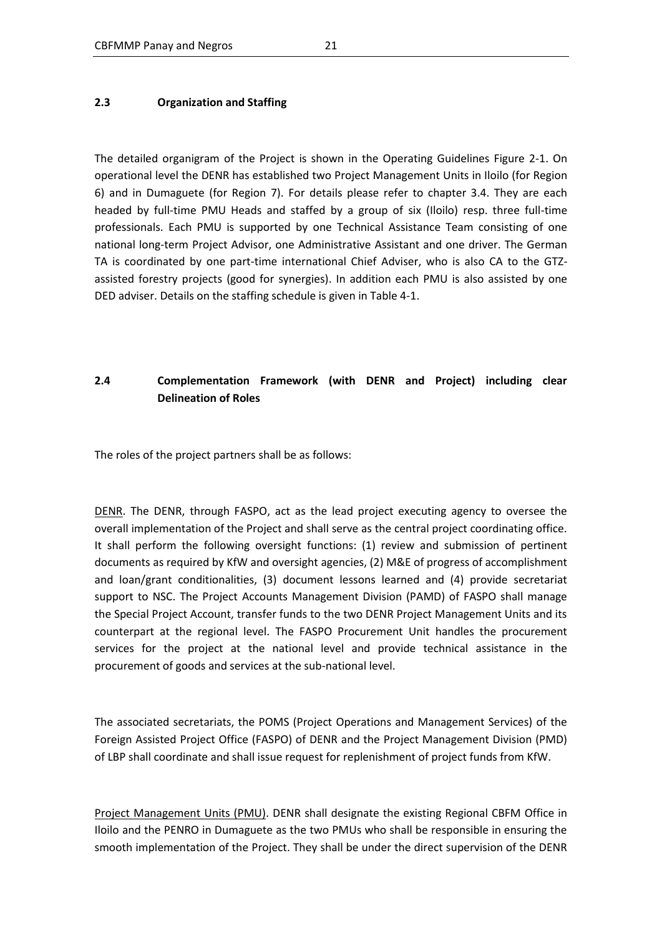#### **2.3 Organization and Staffing**

The detailed organigram of the Project is shown in the Operating Guidelines Figure 2-1. On operational level the DENR has established two Project Management Units in Iloilo (for Region 6) and in Dumaguete (for Region 7). For details please refer to chapter 3.4. They are each headed by full-time PMU Heads and staffed by a group of six (Iloilo) resp. three full-time professionals. Each PMU is supported by one Technical Assistance Team consisting of one national long-term Project Advisor, one Administrative Assistant and one driver. The German TA is coordinated by one part-time international Chief Adviser, who is also CA to the GTZassisted forestry projects (good for synergies). In addition each PMU is also assisted by one DED adviser. Details on the staffing schedule is given in Table 4-1.

# **2.4 Complementation Framework (with DENR and Project) including clear Delineation of Roles**

The roles of the project partners shall be as follows:

DENR. The DENR, through FASPO, act as the lead project executing agency to oversee the overall implementation of the Project and shall serve as the central project coordinating office. It shall perform the following oversight functions: (1) review and submission of pertinent documents as required by KfW and oversight agencies, (2) M&E of progress of accomplishment and loan/grant conditionalities, (3) document lessons learned and (4) provide secretariat support to NSC. The Project Accounts Management Division (PAMD) of FASPO shall manage the Special Project Account, transfer funds to the two DENR Project Management Units and its counterpart at the regional level. The FASPO Procurement Unit handles the procurement services for the project at the national level and provide technical assistance in the procurement of goods and services at the sub-national level.

The associated secretariats, the POMS (Project Operations and Management Services) of the Foreign Assisted Project Office (FASPO) of DENR and the Project Management Division (PMD) of LBP shall coordinate and shall issue request for replenishment of project funds from KfW.

Project Management Units (PMU). DENR shall designate the existing Regional CBFM Office in Iloilo and the PENRO in Dumaguete as the two PMUs who shall be responsible in ensuring the smooth implementation of the Project. They shall be under the direct supervision of the DENR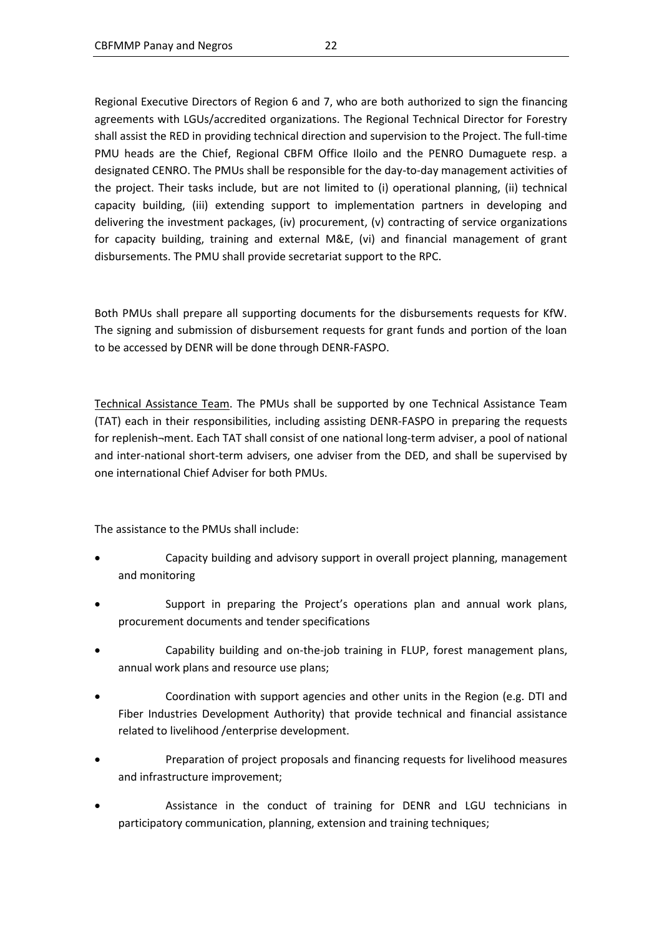Regional Executive Directors of Region 6 and 7, who are both authorized to sign the financing agreements with LGUs/accredited organizations. The Regional Technical Director for Forestry shall assist the RED in providing technical direction and supervision to the Project. The full-time PMU heads are the Chief, Regional CBFM Office Iloilo and the PENRO Dumaguete resp. a designated CENRO. The PMUs shall be responsible for the day-to-day management activities of the project. Their tasks include, but are not limited to (i) operational planning, (ii) technical capacity building, (iii) extending support to implementation partners in developing and delivering the investment packages, (iv) procurement, (v) contracting of service organizations for capacity building, training and external M&E, (vi) and financial management of grant disbursements. The PMU shall provide secretariat support to the RPC.

Both PMUs shall prepare all supporting documents for the disbursements requests for KfW. The signing and submission of disbursement requests for grant funds and portion of the loan to be accessed by DENR will be done through DENR-FASPO.

Technical Assistance Team. The PMUs shall be supported by one Technical Assistance Team (TAT) each in their responsibilities, including assisting DENR-FASPO in preparing the requests for replenish¬ment. Each TAT shall consist of one national long-term adviser, a pool of national and inter-national short-term advisers, one adviser from the DED, and shall be supervised by one international Chief Adviser for both PMUs.

The assistance to the PMUs shall include:

- Capacity building and advisory support in overall project planning, management and monitoring
- Support in preparing the Project's operations plan and annual work plans, procurement documents and tender specifications
- Capability building and on-the-job training in FLUP, forest management plans, annual work plans and resource use plans;
- Coordination with support agencies and other units in the Region (e.g. DTI and Fiber Industries Development Authority) that provide technical and financial assistance related to livelihood /enterprise development.
- Preparation of project proposals and financing requests for livelihood measures and infrastructure improvement;
- Assistance in the conduct of training for DENR and LGU technicians in participatory communication, planning, extension and training techniques;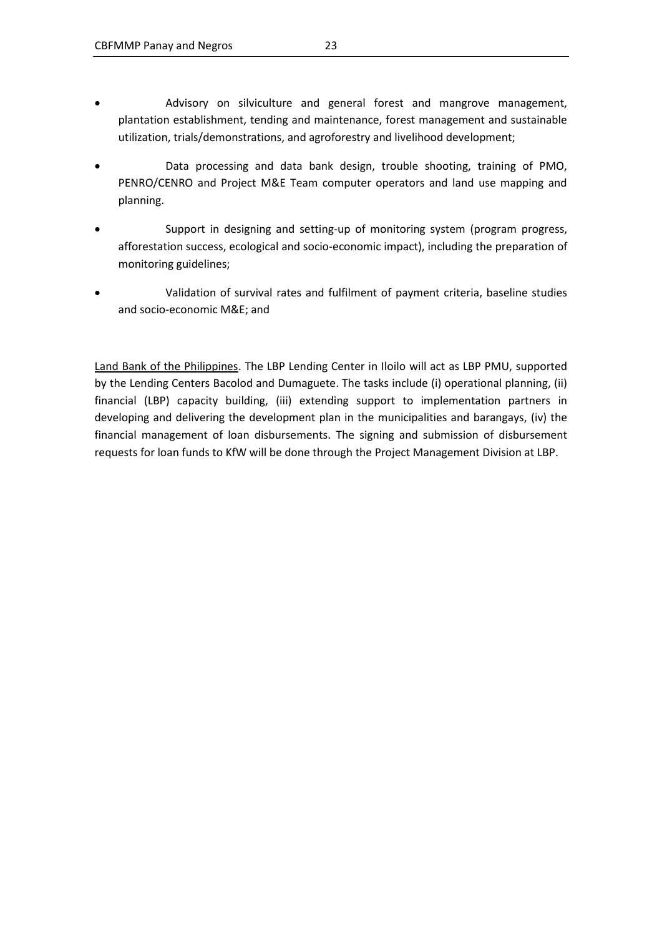- Advisory on silviculture and general forest and mangrove management, plantation establishment, tending and maintenance, forest management and sustainable utilization, trials/demonstrations, and agroforestry and livelihood development;
- Data processing and data bank design, trouble shooting, training of PMO, PENRO/CENRO and Project M&E Team computer operators and land use mapping and planning.
- Support in designing and setting-up of monitoring system (program progress, afforestation success, ecological and socio-economic impact), including the preparation of monitoring guidelines;
- Validation of survival rates and fulfilment of payment criteria, baseline studies and socio-economic M&E; and

Land Bank of the Philippines. The LBP Lending Center in Iloilo will act as LBP PMU, supported by the Lending Centers Bacolod and Dumaguete. The tasks include (i) operational planning, (ii) financial (LBP) capacity building, (iii) extending support to implementation partners in developing and delivering the development plan in the municipalities and barangays, (iv) the financial management of loan disbursements. The signing and submission of disbursement requests for loan funds to KfW will be done through the Project Management Division at LBP.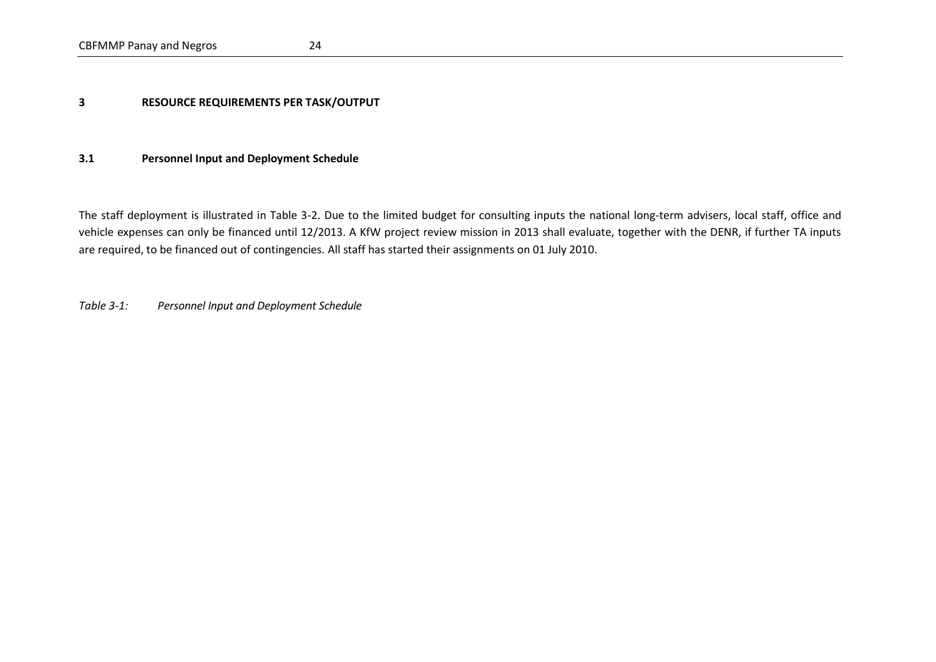#### **3 RESOURCE REQUIREMENTS PER TASK/OUTPUT**

#### **3.1 Personnel Input and Deployment Schedule**

The staff deployment is illustrated in Table 3-2. Due to the limited budget for consulting inputs the national long-term advisers, local staff, office and vehicle expenses can only be financed until 12/2013. A KfW project review mission in 2013 shall evaluate, together with the DENR, if further TA inputs are required, to be financed out of contingencies. All staff has started their assignments on 01 July 2010.

<span id="page-30-0"></span>*Table 3-1: Personnel Input and Deployment Schedule*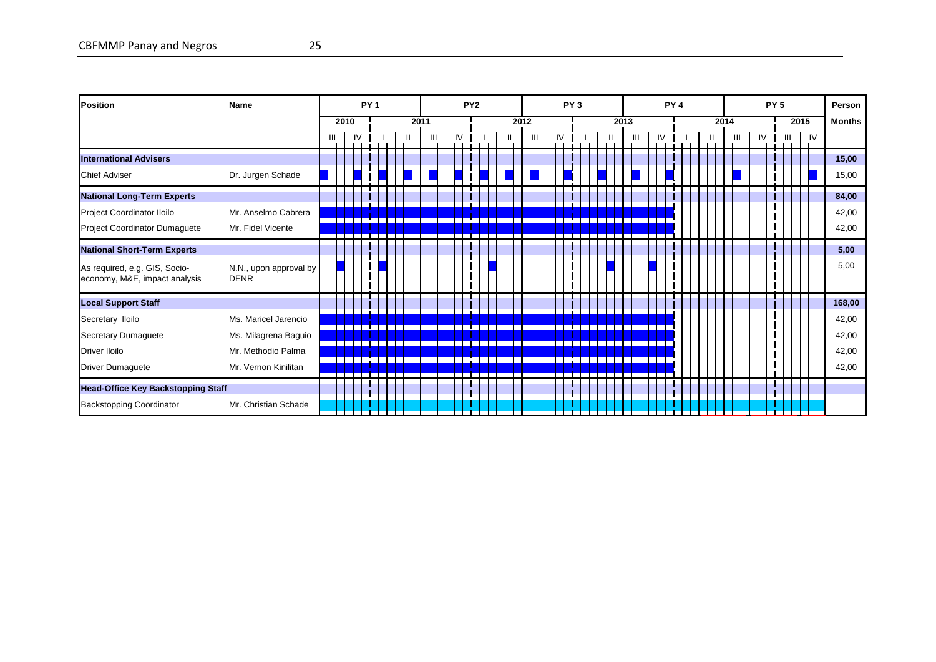CBFMMP Panay and Negros 25

| <b>Position</b>                                                | Name                                  |   |      | PY <sub>1</sub> |  |      |   |    | PY <sub>2</sub> |  |      |  |    | PY <sub>3</sub> |  |      |  |    | PY <sub>4</sub> |  |      |   |    | PY <sub>5</sub> |   |      |    | Person        |
|----------------------------------------------------------------|---------------------------------------|---|------|-----------------|--|------|---|----|-----------------|--|------|--|----|-----------------|--|------|--|----|-----------------|--|------|---|----|-----------------|---|------|----|---------------|
|                                                                |                                       |   | 2010 |                 |  | 2011 |   |    |                 |  | 2012 |  |    |                 |  | 2013 |  |    |                 |  | 2014 |   |    |                 |   | 2015 |    | <b>Months</b> |
|                                                                |                                       | Ш | IV   |                 |  |      | Ш | IV |                 |  |      |  | IV |                 |  |      |  | IV |                 |  |      | Ш | IV |                 | Ш |      | IV |               |
| <b>International Advisers</b>                                  |                                       |   |      |                 |  |      |   |    |                 |  |      |  |    |                 |  |      |  |    |                 |  |      |   |    |                 |   |      |    | 15,00         |
| <b>Chief Adviser</b>                                           | Dr. Jurgen Schade                     |   |      |                 |  |      |   |    |                 |  |      |  |    |                 |  |      |  |    |                 |  |      |   |    |                 |   |      |    | 15,00         |
| <b>National Long-Term Experts</b>                              |                                       |   |      |                 |  |      |   |    |                 |  |      |  |    |                 |  |      |  |    |                 |  |      |   |    |                 |   |      |    | 84,00         |
| Project Coordinator Iloilo                                     | Mr. Anselmo Cabrera                   |   |      |                 |  |      |   |    |                 |  |      |  |    |                 |  |      |  |    |                 |  |      |   |    |                 |   |      |    | 42,00         |
| Project Coordinator Dumaguete                                  | Mr. Fidel Vicente                     |   |      |                 |  |      |   |    |                 |  |      |  |    |                 |  |      |  |    |                 |  |      |   |    |                 |   |      |    | 42,00         |
| <b>National Short-Term Experts</b>                             |                                       |   |      |                 |  |      |   |    |                 |  |      |  |    |                 |  |      |  |    |                 |  |      |   |    |                 |   |      |    | 5,00          |
| As required, e.g. GIS, Socio-<br>economy, M&E, impact analysis | N.N., upon approval by<br><b>DENR</b> |   |      |                 |  |      |   |    |                 |  |      |  |    |                 |  |      |  |    |                 |  |      |   |    |                 |   |      |    | 5,00          |
| <b>Local Support Staff</b>                                     |                                       |   |      |                 |  |      |   |    |                 |  |      |  |    |                 |  |      |  |    |                 |  |      |   |    |                 |   |      |    | 168,00        |
| Secretary Iloilo                                               | Ms. Maricel Jarencio                  |   |      |                 |  |      |   |    |                 |  |      |  |    |                 |  |      |  |    |                 |  |      |   |    |                 |   |      |    | 42,00         |
| Secretary Dumaguete                                            | Ms. Milagrena Baguio                  |   |      |                 |  |      |   |    |                 |  |      |  |    |                 |  |      |  |    |                 |  |      |   |    |                 |   |      |    | 42,00         |
| Driver Iloilo                                                  | Mr. Methodio Palma                    |   |      |                 |  |      |   |    |                 |  |      |  |    |                 |  |      |  |    |                 |  |      |   |    |                 |   |      |    | 42,00         |
| Driver Dumaguete                                               | Mr. Vernon Kinilitan                  |   |      |                 |  |      |   |    |                 |  |      |  |    |                 |  |      |  |    |                 |  |      |   |    |                 |   |      |    | 42,00         |
| <b>Head-Office Key Backstopping Staff</b>                      |                                       |   |      |                 |  |      |   |    |                 |  |      |  |    |                 |  |      |  |    |                 |  |      |   |    |                 |   |      |    |               |
| <b>Backstopping Coordinator</b>                                | Mr. Christian Schade                  |   |      |                 |  |      |   |    |                 |  |      |  |    |                 |  |      |  |    |                 |  |      |   |    |                 |   |      |    |               |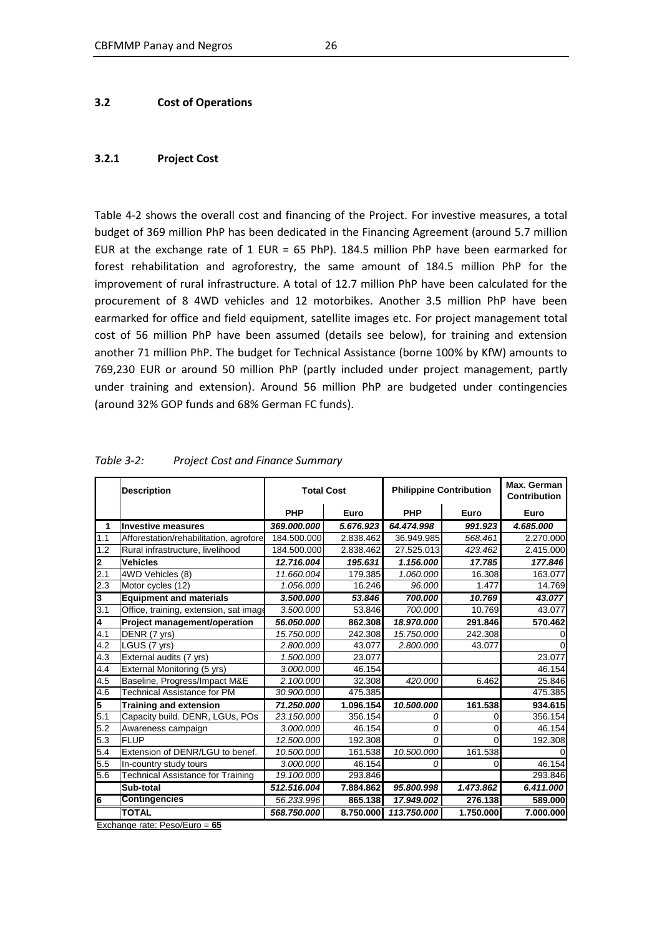#### **3.2 Cost of Operations**

#### **3.2.1 Project Cost**

Table 4-2 shows the overall cost and financing of the Project. For investive measures, a total budget of 369 million PhP has been dedicated in the Financing Agreement (around 5.7 million EUR at the exchange rate of 1 EUR = 65 PhP). 184.5 million PhP have been earmarked for forest rehabilitation and agroforestry, the same amount of 184.5 million PhP for the improvement of rural infrastructure. A total of 12.7 million PhP have been calculated for the procurement of 8 4WD vehicles and 12 motorbikes. Another 3.5 million PhP have been earmarked for office and field equipment, satellite images etc. For project management total cost of 56 million PhP have been assumed (details see below), for training and extension another 71 million PhP. The budget for Technical Assistance (borne 100% by KfW) amounts to 769,230 EUR or around 50 million PhP (partly included under project management, partly under training and extension). Around 56 million PhP are budgeted under contingencies (around 32% GOP funds and 68% German FC funds).

|     | <b>Description</b>                       | <b>Total Cost</b> |           | <b>Philippine Contribution</b> |           | Max. German<br>Contribution |
|-----|------------------------------------------|-------------------|-----------|--------------------------------|-----------|-----------------------------|
|     |                                          | PHP               | Euro      | <b>PHP</b>                     | Euro      | Euro                        |
| 1   | <b>Investive measures</b>                | 369.000.000       | 5.676.923 | 64.474.998                     | 991.923   | 4.685.000                   |
| 1.1 | Afforestation/rehabilitation, agrofore   | 184.500.000       | 2.838.462 | 36.949.985                     | 568.461   | 2.270.000                   |
| 1.2 | Rural infrastructure, livelihood         | 184.500.000       | 2.838.462 | 27.525.013                     | 423.462   | 2.415.000                   |
| 12  | <b>Vehicles</b>                          | 12.716.004        | 195.631   | 1.156.000                      | 17.785    | 177.846                     |
| 2.1 | 4WD Vehicles (8)                         | 11.660.004        | 179.385   | 1.060.000                      | 16.308    | 163.077                     |
| 2.3 | Motor cycles (12)                        | 1.056.000         | 16.246    | 96.000                         | 1.477     | 14.769                      |
| 3   | <b>Equipment and materials</b>           | 3.500.000         | 53.846    | 700.000                        | 10.769    | 43.077                      |
| 3.1 | Office, training, extension, sat image   | 3.500.000         | 53.846    | 700.000                        | 10.769    | 43.077                      |
| 14  | Project management/operation             | 56.050.000        | 862.308   | 18.970.000                     | 291.846   | 570.462                     |
| 4.1 | DENR (7 yrs)                             | 15.750.000        | 242.308   | 15,750,000                     | 242.308   |                             |
| 4.2 | LGUS (7 yrs)                             | 2.800.000         | 43.077    | 2.800.000                      | 43.077    |                             |
| 4.3 | External audits (7 yrs)                  | 1.500.000         | 23.077    |                                |           | 23.077                      |
| 4.4 | External Monitoring (5 yrs)              | 3.000.000         | 46.154    |                                |           | 46.154                      |
| 4.5 | Baseline, Progress/Impact M&E            | 2.100.000         | 32.308    | 420.000                        | 6.462     | 25.846                      |
| 4.6 | Technical Assistance for PM              | 30.900.000        | 475.385   |                                |           | 475.385                     |
| l5  | <b>Training and extension</b>            | 71.250.000        | 1.096.154 | 10.500.000                     | 161.538   | 934.615                     |
| 5.1 | Capacity build. DENR, LGUs, POs          | 23.150.000        | 356.154   | 0                              | 0         | 356.154                     |
| 5.2 | Awareness campaign                       | 3.000.000         | 46.154    | 0                              | 0         | 46.154                      |
| 5.3 | <b>FLUP</b>                              | 12.500.000        | 192.308   | $\Omega$                       | 0         | 192.308                     |
| 5.4 | Extension of DENR/LGU to benef.          | 10.500.000        | 161.538   | 10.500.000                     | 161.538   |                             |
| 5.5 | In-country study tours                   | 3.000.000         | 46.154    | 0                              | 0         | 46.154                      |
| 5.6 | <b>Technical Assistance for Training</b> | 19.100.000        | 293.846   |                                |           | 293.846                     |
|     | Sub-total                                | 512.516.004       | 7.884.862 | 95.800.998                     | 1.473.862 | 6.411.000                   |
| l6  | <b>Contingencies</b>                     | 56.233.996        | 865.138   | 17.949.002                     | 276.138   | 589.000                     |
|     | <b>TOTAL</b>                             | 568.750.000       | 8.750.000 | 113,750,000                    | 1.750.000 | 7.000.000                   |

#### <span id="page-32-0"></span>*Table 3-2: Project Cost and Finance Summary*

Exchange rate: Peso/Euro = **65**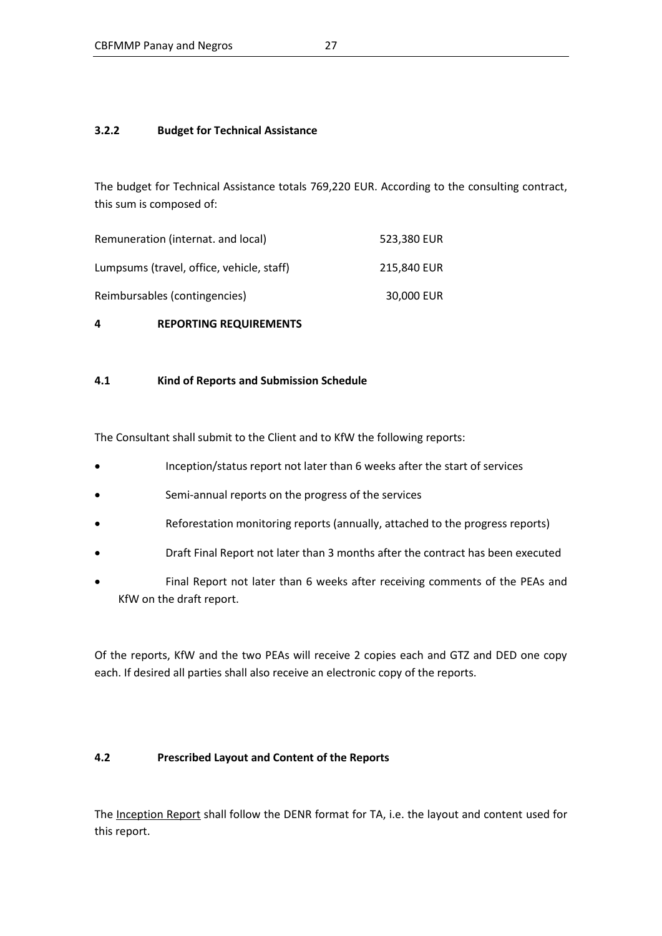### **3.2.2 Budget for Technical Assistance**

The budget for Technical Assistance totals 769,220 EUR. According to the consulting contract, this sum is composed of:

| Remuneration (internat. and local)        | 523.380 EUR |
|-------------------------------------------|-------------|
| Lumpsums (travel, office, vehicle, staff) | 215.840 EUR |
| Reimbursables (contingencies)             | 30,000 EUR  |

### **4 REPORTING REQUIREMENTS**

### **4.1 Kind of Reports and Submission Schedule**

The Consultant shall submit to the Client and to KfW the following reports:

- Inception/status report not later than 6 weeks after the start of services
- Semi-annual reports on the progress of the services
- Reforestation monitoring reports (annually, attached to the progress reports)
- Draft Final Report not later than 3 months after the contract has been executed
- Final Report not later than 6 weeks after receiving comments of the PEAs and KfW on the draft report.

Of the reports, KfW and the two PEAs will receive 2 copies each and GTZ and DED one copy each. If desired all parties shall also receive an electronic copy of the reports.

### **4.2 Prescribed Layout and Content of the Reports**

The Inception Report shall follow the DENR format for TA, i.e. the layout and content used for this report.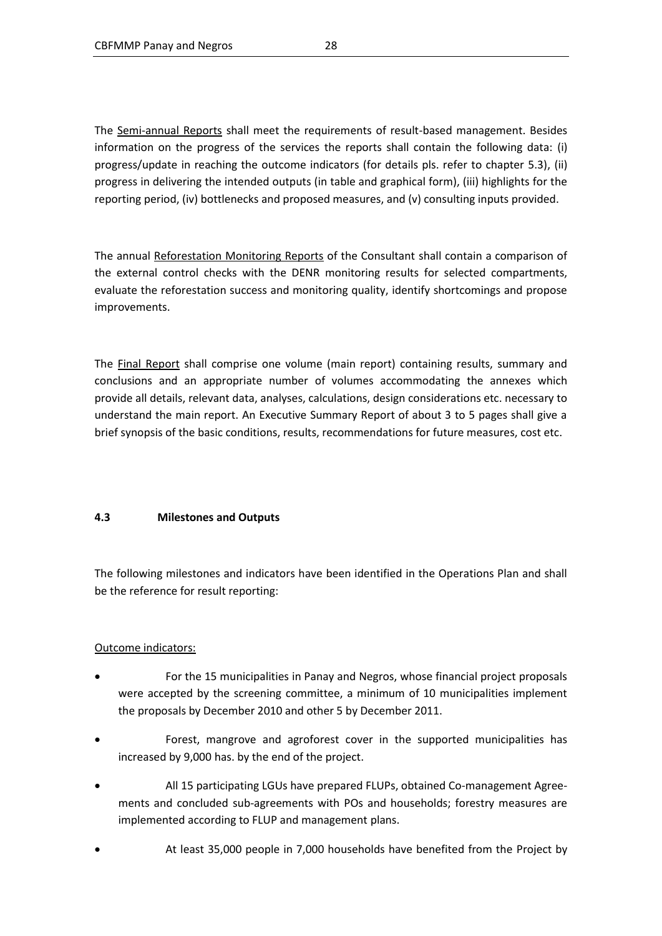The Semi-annual Reports shall meet the requirements of result-based management. Besides information on the progress of the services the reports shall contain the following data: (i) progress/update in reaching the outcome indicators (for details pls. refer to chapter 5.3), (ii) progress in delivering the intended outputs (in table and graphical form), (iii) highlights for the reporting period, (iv) bottlenecks and proposed measures, and (v) consulting inputs provided.

The annual Reforestation Monitoring Reports of the Consultant shall contain a comparison of the external control checks with the DENR monitoring results for selected compartments, evaluate the reforestation success and monitoring quality, identify shortcomings and propose improvements.

The Final Report shall comprise one volume (main report) containing results, summary and conclusions and an appropriate number of volumes accommodating the annexes which provide all details, relevant data, analyses, calculations, design considerations etc. necessary to understand the main report. An Executive Summary Report of about 3 to 5 pages shall give a brief synopsis of the basic conditions, results, recommendations for future measures, cost etc.

### **4.3 Milestones and Outputs**

The following milestones and indicators have been identified in the Operations Plan and shall be the reference for result reporting:

### Outcome indicators:

- For the 15 municipalities in Panay and Negros, whose financial project proposals were accepted by the screening committee, a minimum of 10 municipalities implement the proposals by December 2010 and other 5 by December 2011.
- Forest, mangrove and agroforest cover in the supported municipalities has increased by 9,000 has. by the end of the project.
- All 15 participating LGUs have prepared FLUPs, obtained Co-management Agreements and concluded sub-agreements with POs and households; forestry measures are implemented according to FLUP and management plans.
- At least 35,000 people in 7,000 households have benefited from the Project by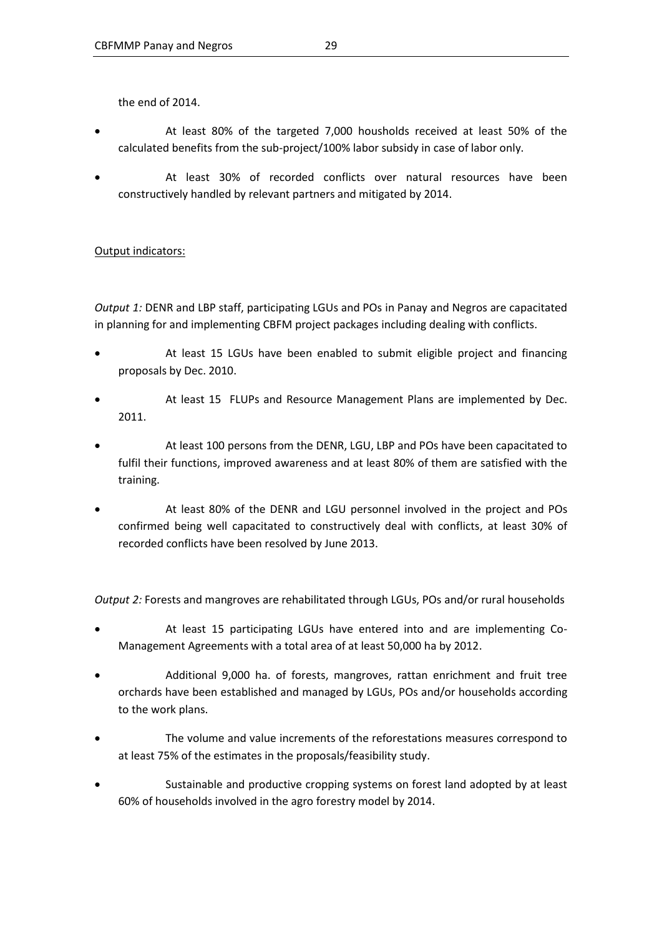the end of 2014.

- At least 80% of the targeted 7,000 housholds received at least 50% of the calculated benefits from the sub-project/100% labor subsidy in case of labor only.
- At least 30% of recorded conflicts over natural resources have been constructively handled by relevant partners and mitigated by 2014.

### Output indicators:

*Output 1:* DENR and LBP staff, participating LGUs and POs in Panay and Negros are capacitated in planning for and implementing CBFM project packages including dealing with conflicts.

- At least 15 LGUs have been enabled to submit eligible project and financing proposals by Dec. 2010.
- At least 15 FLUPs and Resource Management Plans are implemented by Dec. 2011.
- At least 100 persons from the DENR, LGU, LBP and POs have been capacitated to fulfil their functions, improved awareness and at least 80% of them are satisfied with the training.
- At least 80% of the DENR and LGU personnel involved in the project and POs confirmed being well capacitated to constructively deal with conflicts, at least 30% of recorded conflicts have been resolved by June 2013.

*Output 2:* Forests and mangroves are rehabilitated through LGUs, POs and/or rural households

- At least 15 participating LGUs have entered into and are implementing Co-Management Agreements with a total area of at least 50,000 ha by 2012.
- Additional 9,000 ha. of forests, mangroves, rattan enrichment and fruit tree orchards have been established and managed by LGUs, POs and/or households according to the work plans.
- The volume and value increments of the reforestations measures correspond to at least 75% of the estimates in the proposals/feasibility study.
- Sustainable and productive cropping systems on forest land adopted by at least 60% of households involved in the agro forestry model by 2014.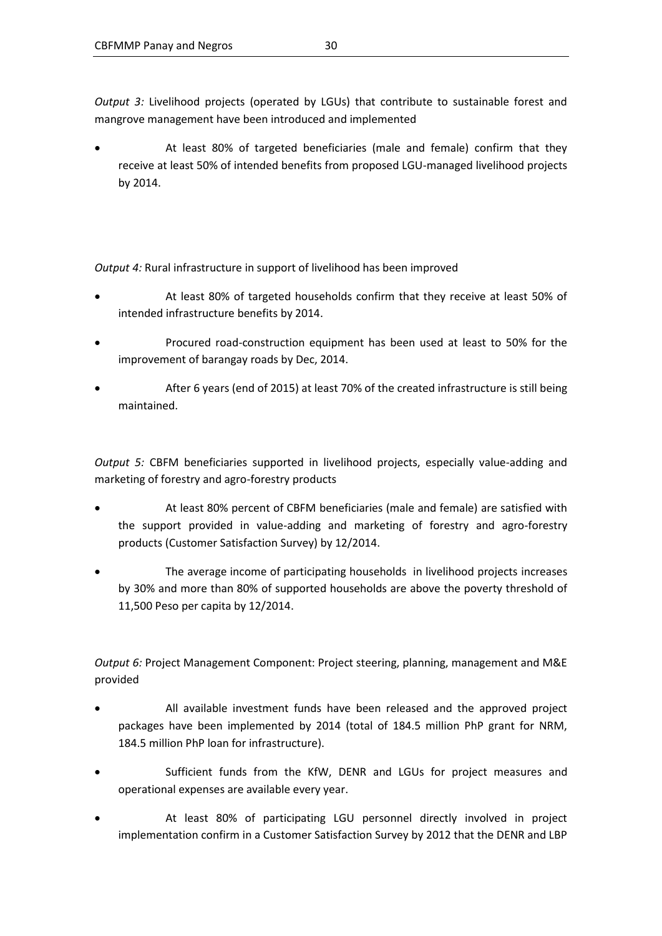*Output 3:* Livelihood projects (operated by LGUs) that contribute to sustainable forest and mangrove management have been introduced and implemented

 At least 80% of targeted beneficiaries (male and female) confirm that they receive at least 50% of intended benefits from proposed LGU-managed livelihood projects by 2014.

*Output 4:* Rural infrastructure in support of livelihood has been improved

- At least 80% of targeted households confirm that they receive at least 50% of intended infrastructure benefits by 2014.
- Procured road-construction equipment has been used at least to 50% for the improvement of barangay roads by Dec, 2014.
- After 6 years (end of 2015) at least 70% of the created infrastructure is still being maintained.

*Output 5:* CBFM beneficiaries supported in livelihood projects, especially value-adding and marketing of forestry and agro-forestry products

- At least 80% percent of CBFM beneficiaries (male and female) are satisfied with the support provided in value-adding and marketing of forestry and agro-forestry products (Customer Satisfaction Survey) by 12/2014.
- The average income of participating households in livelihood projects increases by 30% and more than 80% of supported households are above the poverty threshold of 11,500 Peso per capita by 12/2014.

*Output 6:* Project Management Component: Project steering, planning, management and M&E provided

- All available investment funds have been released and the approved project packages have been implemented by 2014 (total of 184.5 million PhP grant for NRM, 184.5 million PhP loan for infrastructure).
- Sufficient funds from the KfW, DENR and LGUs for project measures and operational expenses are available every year.
- At least 80% of participating LGU personnel directly involved in project implementation confirm in a Customer Satisfaction Survey by 2012 that the DENR and LBP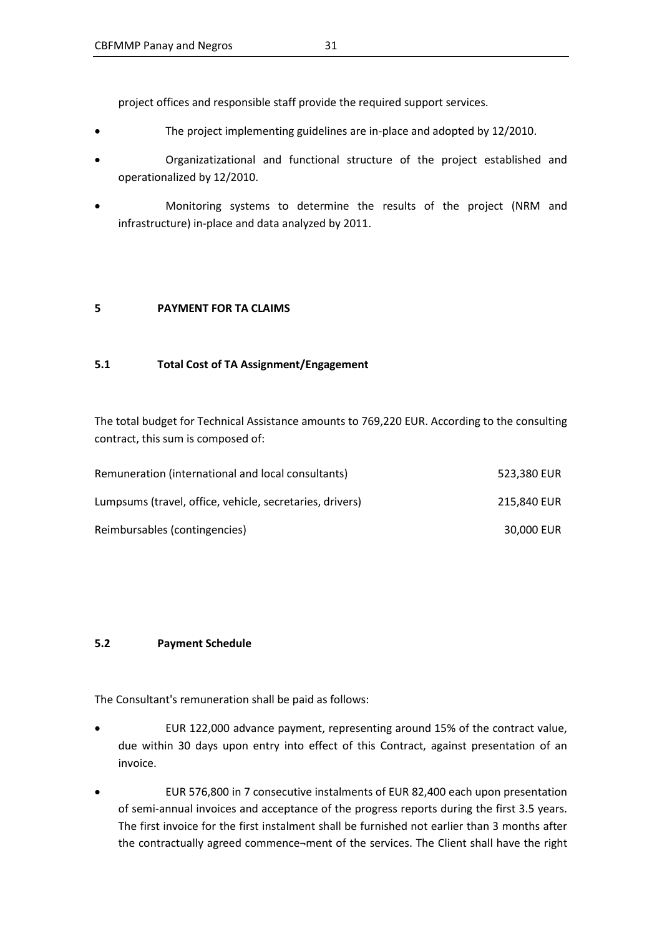project offices and responsible staff provide the required support services.

- The project implementing guidelines are in-place and adopted by 12/2010.
- Organizatizational and functional structure of the project established and operationalized by 12/2010.
- Monitoring systems to determine the results of the project (NRM and infrastructure) in-place and data analyzed by 2011.

#### **5 PAYMENT FOR TA CLAIMS**

#### **5.1 Total Cost of TA Assignment/Engagement**

The total budget for Technical Assistance amounts to 769,220 EUR. According to the consulting contract, this sum is composed of:

| Remuneration (international and local consultants)       | 523.380 EUR |
|----------------------------------------------------------|-------------|
| Lumpsums (travel, office, vehicle, secretaries, drivers) | 215,840 EUR |
| Reimbursables (contingencies)                            | 30,000 EUR  |

### **5.2 Payment Schedule**

The Consultant's remuneration shall be paid as follows:

- EUR 122,000 advance payment, representing around 15% of the contract value, due within 30 days upon entry into effect of this Contract, against presentation of an invoice.
- EUR 576,800 in 7 consecutive instalments of EUR 82,400 each upon presentation of semi-annual invoices and acceptance of the progress reports during the first 3.5 years. The first invoice for the first instalment shall be furnished not earlier than 3 months after the contractually agreed commence¬ment of the services. The Client shall have the right